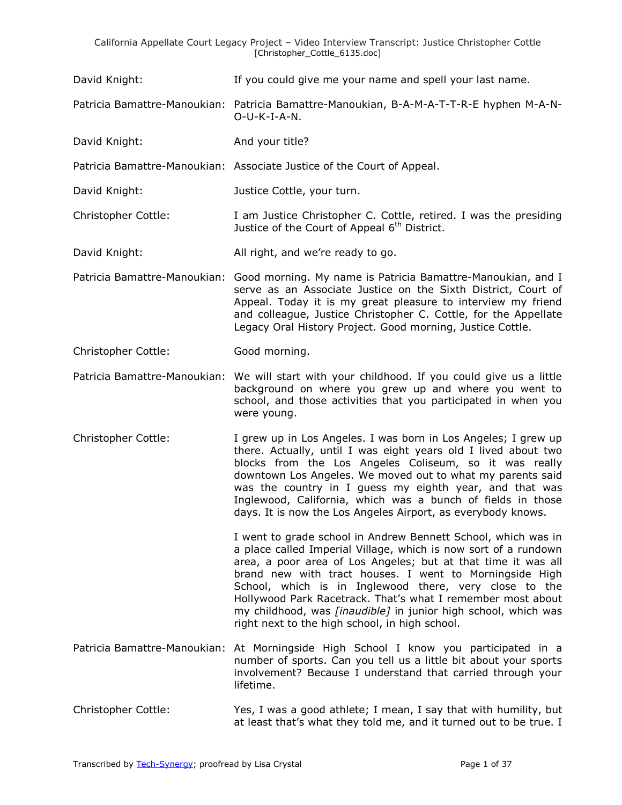- David Knight: If you could give me your name and spell your last name.
- Patricia Bamattre-Manoukian: Patricia Bamattre-Manoukian, B-A-M-A-T-T-R-E hyphen M-A-N-O-U-K-I-A-N.
- David Knight: And your title?
- Patricia Bamattre-Manoukian: Associate Justice of the Court of Appeal.
- David Knight: Justice Cottle, your turn.
- Christopher Cottle: I am Justice Christopher C. Cottle, retired. I was the presiding Justice of the Court of Appeal 6<sup>th</sup> District.
- David Knight: All right, and we're ready to go.
- Patricia Bamattre-Manoukian: Good morning. My name is Patricia Bamattre-Manoukian, and I serve as an Associate Justice on the Sixth District, Court of Appeal. Today it is my great pleasure to interview my friend and colleague, Justice Christopher C. Cottle, for the Appellate Legacy Oral History Project. Good morning, Justice Cottle.
- Christopher Cottle: Good morning.
- Patricia Bamattre-Manoukian: We will start with your childhood. If you could give us a little background on where you grew up and where you went to school, and those activities that you participated in when you were young.
- Christopher Cottle: I grew up in Los Angeles. I was born in Los Angeles; I grew up there. Actually, until I was eight years old I lived about two blocks from the Los Angeles Coliseum, so it was really downtown Los Angeles. We moved out to what my parents said was the country in I guess my eighth year, and that was Inglewood, California, which was a bunch of fields in those days. It is now the Los Angeles Airport, as everybody knows.

I went to grade school in Andrew Bennett School, which was in a place called Imperial Village, which is now sort of a rundown area, a poor area of Los Angeles; but at that time it was all brand new with tract houses. I went to Morningside High School, which is in Inglewood there, very close to the Hollywood Park Racetrack. That's what I remember most about my childhood, was *[inaudible]* in junior high school, which was right next to the high school, in high school.

- Patricia Bamattre-Manoukian: At Morningside High School I know you participated in a number of sports. Can you tell us a little bit about your sports involvement? Because I understand that carried through your lifetime.
- Christopher Cottle: Yes, I was a good athlete; I mean, I say that with humility, but at least that's what they told me, and it turned out to be true. I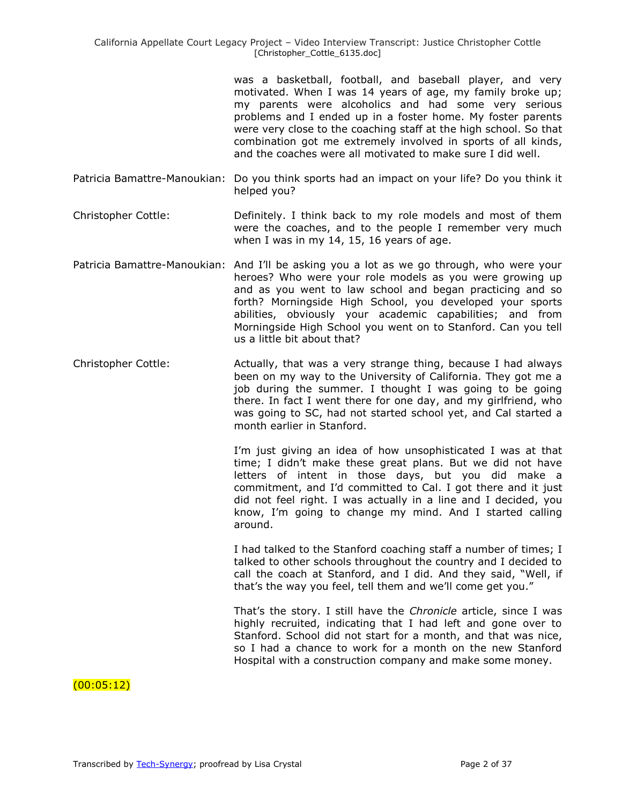was a basketball, football, and baseball player, and very motivated. When I was 14 years of age, my family broke up; my parents were alcoholics and had some very serious problems and I ended up in a foster home. My foster parents were very close to the coaching staff at the high school. So that combination got me extremely involved in sports of all kinds, and the coaches were all motivated to make sure I did well.

- Patricia Bamattre-Manoukian: Do you think sports had an impact on your life? Do you think it helped you?
- Christopher Cottle: Definitely. I think back to my role models and most of them were the coaches, and to the people I remember very much when I was in my 14, 15, 16 years of age.
- Patricia Bamattre-Manoukian: And I'll be asking you a lot as we go through, who were your heroes? Who were your role models as you were growing up and as you went to law school and began practicing and so forth? Morningside High School, you developed your sports abilities, obviously your academic capabilities; and from Morningside High School you went on to Stanford. Can you tell us a little bit about that?
- Christopher Cottle: Actually, that was a very strange thing, because I had always been on my way to the University of California. They got me a job during the summer. I thought I was going to be going there. In fact I went there for one day, and my girlfriend, who was going to SC, had not started school yet, and Cal started a month earlier in Stanford.

I'm just giving an idea of how unsophisticated I was at that time; I didn't make these great plans. But we did not have letters of intent in those days, but you did make a commitment, and I'd committed to Cal. I got there and it just did not feel right. I was actually in a line and I decided, you know, I'm going to change my mind. And I started calling around.

I had talked to the Stanford coaching staff a number of times; I talked to other schools throughout the country and I decided to call the coach at Stanford, and I did. And they said, "Well, if that's the way you feel, tell them and we'll come get you."

That's the story. I still have the *Chronicle* article, since I was highly recruited, indicating that I had left and gone over to Stanford. School did not start for a month, and that was nice, so I had a chance to work for a month on the new Stanford Hospital with a construction company and make some money.

# $(00:05:12)$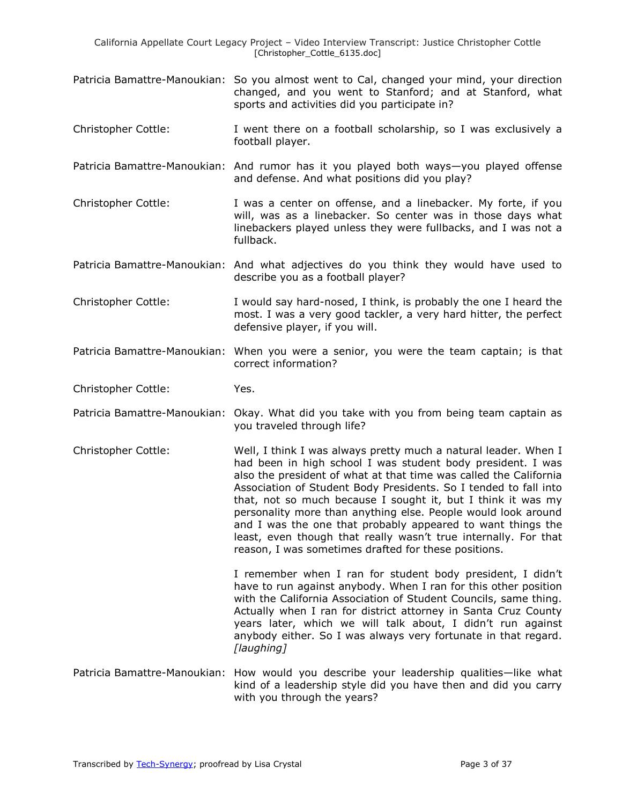- Patricia Bamattre-Manoukian: So you almost went to Cal, changed your mind, your direction changed, and you went to Stanford; and at Stanford, what sports and activities did you participate in?
- Christopher Cottle: I went there on a football scholarship, so I was exclusively a football player.
- Patricia Bamattre-Manoukian: And rumor has it you played both ways—you played offense and defense. And what positions did you play?
- Christopher Cottle: I was a center on offense, and a linebacker. My forte, if you will, was as a linebacker. So center was in those days what linebackers played unless they were fullbacks, and I was not a fullback.
- Patricia Bamattre-Manoukian: And what adjectives do you think they would have used to describe you as a football player?
- Christopher Cottle: I would say hard-nosed, I think, is probably the one I heard the most. I was a very good tackler, a very hard hitter, the perfect defensive player, if you will.
- Patricia Bamattre-Manoukian: When you were a senior, you were the team captain; is that correct information?
- Christopher Cottle: Yes.
- Patricia Bamattre-Manoukian: Okay. What did you take with you from being team captain as you traveled through life?
- Christopher Cottle: Well, I think I was always pretty much a natural leader. When I had been in high school I was student body president. I was also the president of what at that time was called the California Association of Student Body Presidents. So I tended to fall into that, not so much because I sought it, but I think it was my personality more than anything else. People would look around and I was the one that probably appeared to want things the least, even though that really wasn't true internally. For that reason, I was sometimes drafted for these positions.

I remember when I ran for student body president, I didn't have to run against anybody. When I ran for this other position with the California Association of Student Councils, same thing. Actually when I ran for district attorney in Santa Cruz County years later, which we will talk about, I didn't run against anybody either. So I was always very fortunate in that regard. *[laughing]*

Patricia Bamattre-Manoukian: How would you describe your leadership qualities—like what kind of a leadership style did you have then and did you carry with you through the years?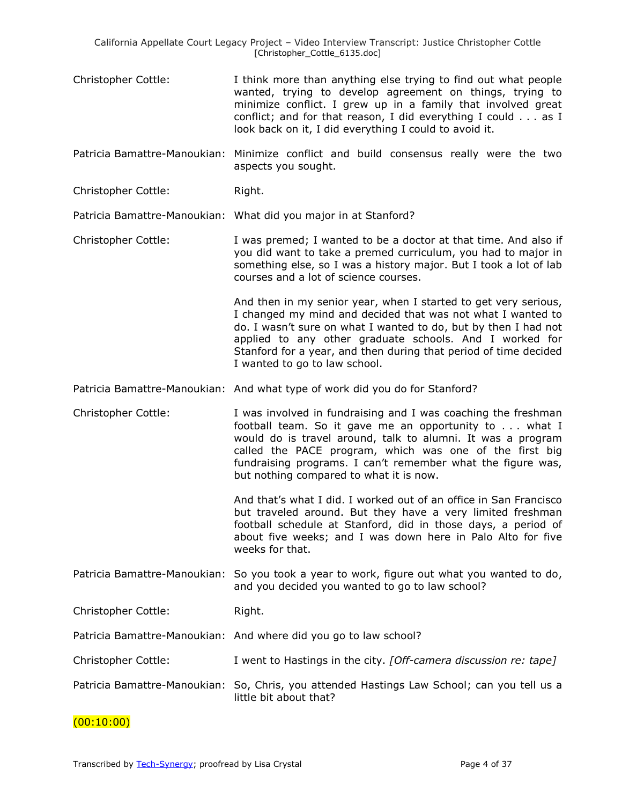- Christopher Cottle: I think more than anything else trying to find out what people wanted, trying to develop agreement on things, trying to minimize conflict. I grew up in a family that involved great conflict; and for that reason, I did everything I could . . . as I look back on it, I did everything I could to avoid it.
- Patricia Bamattre-Manoukian: Minimize conflict and build consensus really were the two aspects you sought.
- Christopher Cottle: Right.

Patricia Bamattre-Manoukian: What did you major in at Stanford?

Christopher Cottle: I was premed; I wanted to be a doctor at that time. And also if you did want to take a premed curriculum, you had to major in something else, so I was a history major. But I took a lot of lab courses and a lot of science courses.

> And then in my senior year, when I started to get very serious, I changed my mind and decided that was not what I wanted to do. I wasn't sure on what I wanted to do, but by then I had not applied to any other graduate schools. And I worked for Stanford for a year, and then during that period of time decided I wanted to go to law school.

Patricia Bamattre-Manoukian: And what type of work did you do for Stanford?

Christopher Cottle: I was involved in fundraising and I was coaching the freshman football team. So it gave me an opportunity to . . . what I would do is travel around, talk to alumni. It was a program called the PACE program, which was one of the first big fundraising programs. I can't remember what the figure was, but nothing compared to what it is now.

> And that's what I did. I worked out of an office in San Francisco but traveled around. But they have a very limited freshman football schedule at Stanford, did in those days, a period of about five weeks; and I was down here in Palo Alto for five weeks for that.

Patricia Bamattre-Manoukian: So you took a year to work, figure out what you wanted to do, and you decided you wanted to go to law school?

Christopher Cottle: Right.

- Patricia Bamattre-Manoukian: And where did you go to law school?
- Christopher Cottle: I went to Hastings in the city. *[Off-camera discussion re: tape]*
- Patricia Bamattre-Manoukian: So, Chris, you attended Hastings Law School; can you tell us a little bit about that?

#### $(00:10:00)$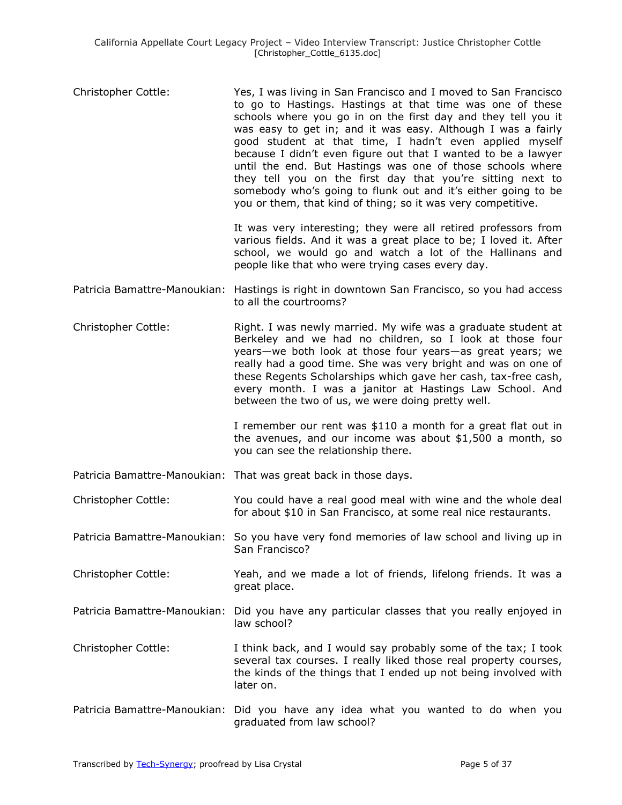Christopher Cottle: Yes, I was living in San Francisco and I moved to San Francisco to go to Hastings. Hastings at that time was one of these schools where you go in on the first day and they tell you it was easy to get in; and it was easy. Although I was a fairly good student at that time, I hadn't even applied myself because I didn't even figure out that I wanted to be a lawyer until the end. But Hastings was one of those schools where they tell you on the first day that you're sitting next to somebody who's going to flunk out and it's either going to be you or them, that kind of thing; so it was very competitive.

> It was very interesting; they were all retired professors from various fields. And it was a great place to be; I loved it. After school, we would go and watch a lot of the Hallinans and people like that who were trying cases every day.

- Patricia Bamattre-Manoukian: Hastings is right in downtown San Francisco, so you had access to all the courtrooms?
- Christopher Cottle: Right. I was newly married. My wife was a graduate student at Berkeley and we had no children, so I look at those four years—we both look at those four years—as great years; we really had a good time. She was very bright and was on one of these Regents Scholarships which gave her cash, tax-free cash, every month. I was a janitor at Hastings Law School. And between the two of us, we were doing pretty well.

I remember our rent was \$110 a month for a great flat out in the avenues, and our income was about \$1,500 a month, so you can see the relationship there.

- Patricia Bamattre-Manoukian: That was great back in those days.
- Christopher Cottle: You could have a real good meal with wine and the whole deal for about \$10 in San Francisco, at some real nice restaurants.
- Patricia Bamattre-Manoukian: So you have very fond memories of law school and living up in San Francisco?
- Christopher Cottle: Yeah, and we made a lot of friends, lifelong friends. It was a great place.
- Patricia Bamattre-Manoukian: Did you have any particular classes that you really enjoyed in law school?
- Christopher Cottle: I think back, and I would say probably some of the tax; I took several tax courses. I really liked those real property courses, the kinds of the things that I ended up not being involved with later on.
- Patricia Bamattre-Manoukian: Did you have any idea what you wanted to do when you graduated from law school?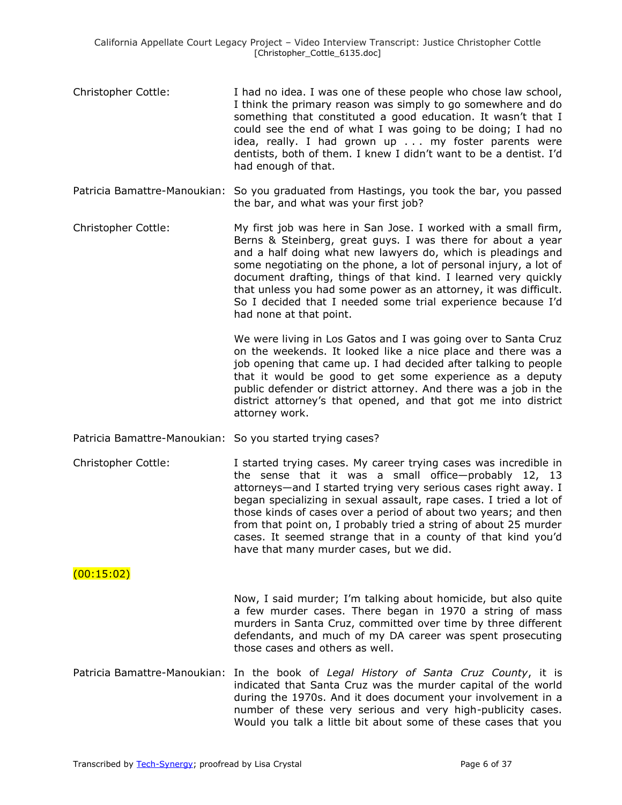- Christopher Cottle: I had no idea. I was one of these people who chose law school, I think the primary reason was simply to go somewhere and do something that constituted a good education. It wasn't that I could see the end of what I was going to be doing; I had no idea, really. I had grown up . . . my foster parents were dentists, both of them. I knew I didn't want to be a dentist. I'd had enough of that.
- Patricia Bamattre-Manoukian: So you graduated from Hastings, you took the bar, you passed the bar, and what was your first job?
- Christopher Cottle: My first job was here in San Jose. I worked with a small firm, Berns & Steinberg, great guys. I was there for about a year and a half doing what new lawyers do, which is pleadings and some negotiating on the phone, a lot of personal injury, a lot of document drafting, things of that kind. I learned very quickly that unless you had some power as an attorney, it was difficult. So I decided that I needed some trial experience because I'd had none at that point.

We were living in Los Gatos and I was going over to Santa Cruz on the weekends. It looked like a nice place and there was a job opening that came up. I had decided after talking to people that it would be good to get some experience as a deputy public defender or district attorney. And there was a job in the district attorney's that opened, and that got me into district attorney work.

- Patricia Bamattre-Manoukian: So you started trying cases?
- Christopher Cottle: I started trying cases. My career trying cases was incredible in the sense that it was a small office—probably 12, 13 attorneys—and I started trying very serious cases right away. I began specializing in sexual assault, rape cases. I tried a lot of those kinds of cases over a period of about two years; and then from that point on, I probably tried a string of about 25 murder cases. It seemed strange that in a county of that kind you'd have that many murder cases, but we did.

#### (00:15:02)

Now, I said murder; I'm talking about homicide, but also quite a few murder cases. There began in 1970 a string of mass murders in Santa Cruz, committed over time by three different defendants, and much of my DA career was spent prosecuting those cases and others as well.

Patricia Bamattre-Manoukian: In the book of *Legal History of Santa Cruz County*, it is indicated that Santa Cruz was the murder capital of the world during the 1970s. And it does document your involvement in a number of these very serious and very high-publicity cases. Would you talk a little bit about some of these cases that you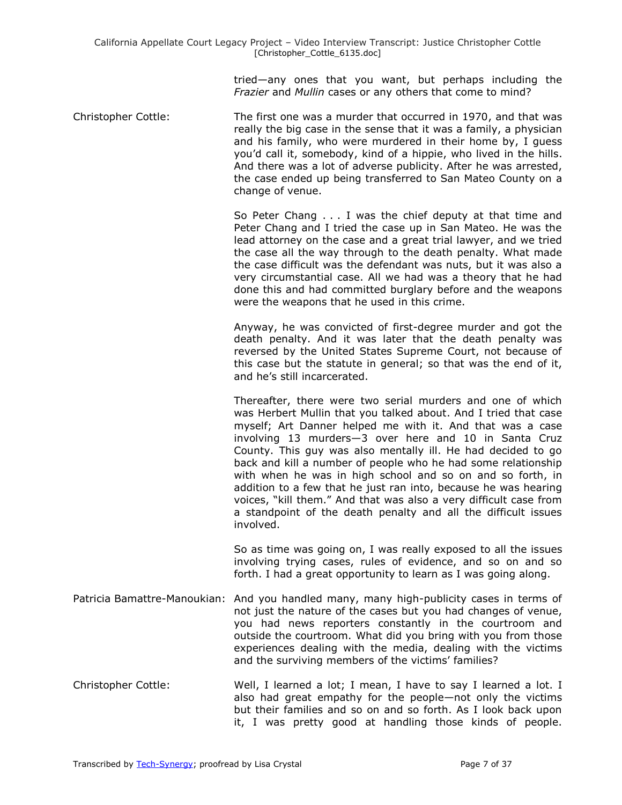tried—any ones that you want, but perhaps including the *Frazier* and *Mullin* cases or any others that come to mind?

Christopher Cottle: The first one was a murder that occurred in 1970, and that was really the big case in the sense that it was a family, a physician and his family, who were murdered in their home by, I guess you'd call it, somebody, kind of a hippie, who lived in the hills. And there was a lot of adverse publicity. After he was arrested, the case ended up being transferred to San Mateo County on a change of venue.

> So Peter Chang . . . I was the chief deputy at that time and Peter Chang and I tried the case up in San Mateo. He was the lead attorney on the case and a great trial lawyer, and we tried the case all the way through to the death penalty. What made the case difficult was the defendant was nuts, but it was also a very circumstantial case. All we had was a theory that he had done this and had committed burglary before and the weapons were the weapons that he used in this crime.

> Anyway, he was convicted of first-degree murder and got the death penalty. And it was later that the death penalty was reversed by the United States Supreme Court, not because of this case but the statute in general; so that was the end of it, and he's still incarcerated.

> Thereafter, there were two serial murders and one of which was Herbert Mullin that you talked about. And I tried that case myself; Art Danner helped me with it. And that was a case involving 13 murders—3 over here and 10 in Santa Cruz County. This guy was also mentally ill. He had decided to go back and kill a number of people who he had some relationship with when he was in high school and so on and so forth, in addition to a few that he just ran into, because he was hearing voices, "kill them." And that was also a very difficult case from a standpoint of the death penalty and all the difficult issues involved.

> So as time was going on, I was really exposed to all the issues involving trying cases, rules of evidence, and so on and so forth. I had a great opportunity to learn as I was going along.

- Patricia Bamattre-Manoukian: And you handled many, many high-publicity cases in terms of not just the nature of the cases but you had changes of venue, you had news reporters constantly in the courtroom and outside the courtroom. What did you bring with you from those experiences dealing with the media, dealing with the victims and the surviving members of the victims' families?
- Christopher Cottle: Well, I learned a lot; I mean, I have to say I learned a lot. I also had great empathy for the people—not only the victims but their families and so on and so forth. As I look back upon it, I was pretty good at handling those kinds of people.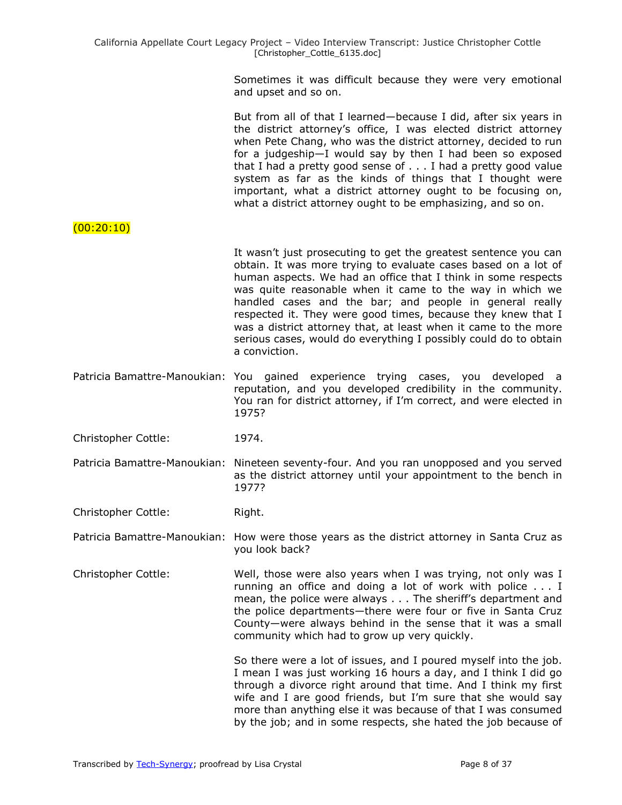Sometimes it was difficult because they were very emotional and upset and so on.

But from all of that I learned—because I did, after six years in the district attorney's office, I was elected district attorney when Pete Chang, who was the district attorney, decided to run for a judgeship—I would say by then I had been so exposed that I had a pretty good sense of . . . I had a pretty good value system as far as the kinds of things that I thought were important, what a district attorney ought to be focusing on, what a district attorney ought to be emphasizing, and so on.

#### (00:20:10)

It wasn't just prosecuting to get the greatest sentence you can obtain. It was more trying to evaluate cases based on a lot of human aspects. We had an office that I think in some respects was quite reasonable when it came to the way in which we handled cases and the bar; and people in general really respected it. They were good times, because they knew that I was a district attorney that, at least when it came to the more serious cases, would do everything I possibly could do to obtain a conviction.

Patricia Bamattre-Manoukian: You gained experience trying cases, you developed a reputation, and you developed credibility in the community. You ran for district attorney, if I'm correct, and were elected in 1975?

Christopher Cottle: 1974.

Patricia Bamattre-Manoukian: Nineteen seventy-four. And you ran unopposed and you served as the district attorney until your appointment to the bench in 1977?

Christopher Cottle: Right.

Patricia Bamattre-Manoukian: How were those years as the district attorney in Santa Cruz as you look back?

Christopher Cottle: Well, those were also years when I was trying, not only was I running an office and doing a lot of work with police . . . I mean, the police were always . . . The sheriff's department and the police departments—there were four or five in Santa Cruz County—were always behind in the sense that it was a small community which had to grow up very quickly.

> So there were a lot of issues, and I poured myself into the job. I mean I was just working 16 hours a day, and I think I did go through a divorce right around that time. And I think my first wife and I are good friends, but I'm sure that she would say more than anything else it was because of that I was consumed by the job; and in some respects, she hated the job because of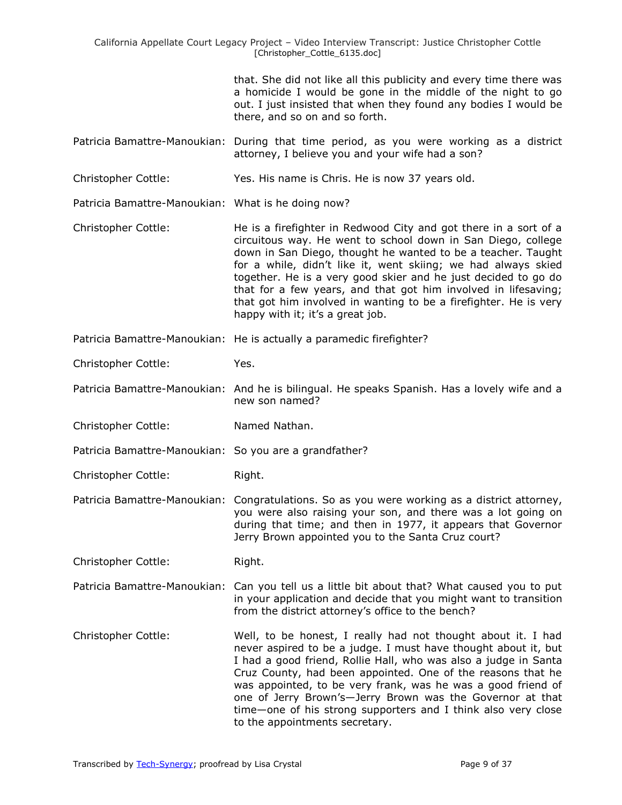that. She did not like all this publicity and every time there was a homicide I would be gone in the middle of the night to go out. I just insisted that when they found any bodies I would be there, and so on and so forth.

- Patricia Bamattre-Manoukian: During that time period, as you were working as a district attorney, I believe you and your wife had a son?
- Christopher Cottle: Yes. His name is Chris. He is now 37 years old.

Patricia Bamattre-Manoukian: What is he doing now?

- Christopher Cottle: He is a firefighter in Redwood City and got there in a sort of a circuitous way. He went to school down in San Diego, college down in San Diego, thought he wanted to be a teacher. Taught for a while, didn't like it, went skiing; we had always skied together. He is a very good skier and he just decided to go do that for a few years, and that got him involved in lifesaving; that got him involved in wanting to be a firefighter. He is very happy with it; it's a great job.
- Patricia Bamattre-Manoukian: He is actually a paramedic firefighter?
- Christopher Cottle: Yes.

Patricia Bamattre-Manoukian: And he is bilingual. He speaks Spanish. Has a lovely wife and a new son named?

Christopher Cottle: Named Nathan.

Patricia Bamattre-Manoukian: So you are a grandfather?

Christopher Cottle: Right.

Patricia Bamattre-Manoukian: Congratulations. So as you were working as a district attorney, you were also raising your son, and there was a lot going on during that time; and then in 1977, it appears that Governor Jerry Brown appointed you to the Santa Cruz court?

Christopher Cottle: Right.

Patricia Bamattre-Manoukian: Can you tell us a little bit about that? What caused you to put in your application and decide that you might want to transition from the district attorney's office to the bench?

Christopher Cottle: Well, to be honest, I really had not thought about it. I had never aspired to be a judge. I must have thought about it, but I had a good friend, Rollie Hall, who was also a judge in Santa Cruz County, had been appointed. One of the reasons that he was appointed, to be very frank, was he was a good friend of one of Jerry Brown's—Jerry Brown was the Governor at that time—one of his strong supporters and I think also very close to the appointments secretary.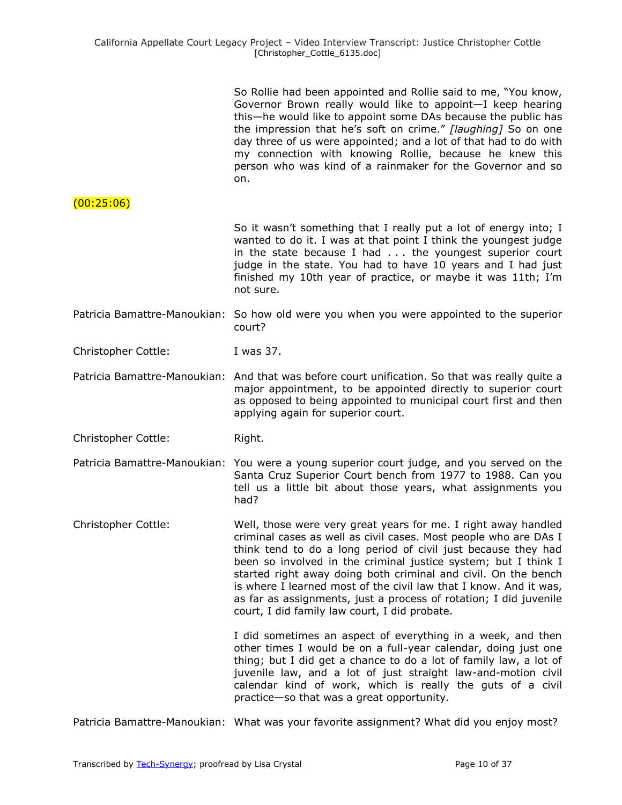|                              | So Rollie had been appointed and Rollie said to me, "You know,<br>Governor Brown really would like to appoint-I keep hearing<br>this—he would like to appoint some DAs because the public has<br>the impression that he's soft on crime." [laughing] So on one<br>day three of us were appointed; and a lot of that had to do with<br>my connection with knowing Rollie, because he knew this<br>person who was kind of a rainmaker for the Governor and so<br>on.                                                                 |
|------------------------------|------------------------------------------------------------------------------------------------------------------------------------------------------------------------------------------------------------------------------------------------------------------------------------------------------------------------------------------------------------------------------------------------------------------------------------------------------------------------------------------------------------------------------------|
| (00:25:06)                   |                                                                                                                                                                                                                                                                                                                                                                                                                                                                                                                                    |
|                              | So it wasn't something that I really put a lot of energy into; I<br>wanted to do it. I was at that point I think the youngest judge<br>in the state because I had $\ldots$ the youngest superior court<br>judge in the state. You had to have 10 years and I had just<br>finished my 10th year of practice, or maybe it was 11th; I'm<br>not sure.                                                                                                                                                                                 |
|                              | Patricia Bamattre-Manoukian: So how old were you when you were appointed to the superior<br>court?                                                                                                                                                                                                                                                                                                                                                                                                                                 |
| <b>Christopher Cottle:</b>   | I was 37.                                                                                                                                                                                                                                                                                                                                                                                                                                                                                                                          |
|                              | Patricia Bamattre-Manoukian: And that was before court unification. So that was really quite a<br>major appointment, to be appointed directly to superior court<br>as opposed to being appointed to municipal court first and then<br>applying again for superior court.                                                                                                                                                                                                                                                           |
| Christopher Cottle:          | Right.                                                                                                                                                                                                                                                                                                                                                                                                                                                                                                                             |
| Patricia Bamattre-Manoukian: | You were a young superior court judge, and you served on the<br>Santa Cruz Superior Court bench from 1977 to 1988. Can you<br>tell us a little bit about those years, what assignments you<br>had?                                                                                                                                                                                                                                                                                                                                 |
| Christopher Cottle:          | Well, those were very great years for me. I right away handled<br>criminal cases as well as civil cases. Most people who are DAs I<br>think tend to do a long period of civil just because they had<br>been so involved in the criminal justice system; but I think I<br>started right away doing both criminal and civil. On the bench<br>is where I learned most of the civil law that I know. And it was,<br>as far as assignments, just a process of rotation; I did juvenile<br>court, I did family law court, I did probate. |
|                              | I did sometimes an aspect of everything in a week, and then<br>other times I would be on a full-year calendar, doing just one<br>thing; but I did get a chance to do a lot of family law, a lot of<br>juvenile law, and a lot of just straight law-and-motion civil<br>calendar kind of work, which is really the guts of a civil<br>practice-so that was a great opportunity.                                                                                                                                                     |
|                              | Patricia Bamattre-Manoukian: What was your favorite assignment? What did you enjoy most?                                                                                                                                                                                                                                                                                                                                                                                                                                           |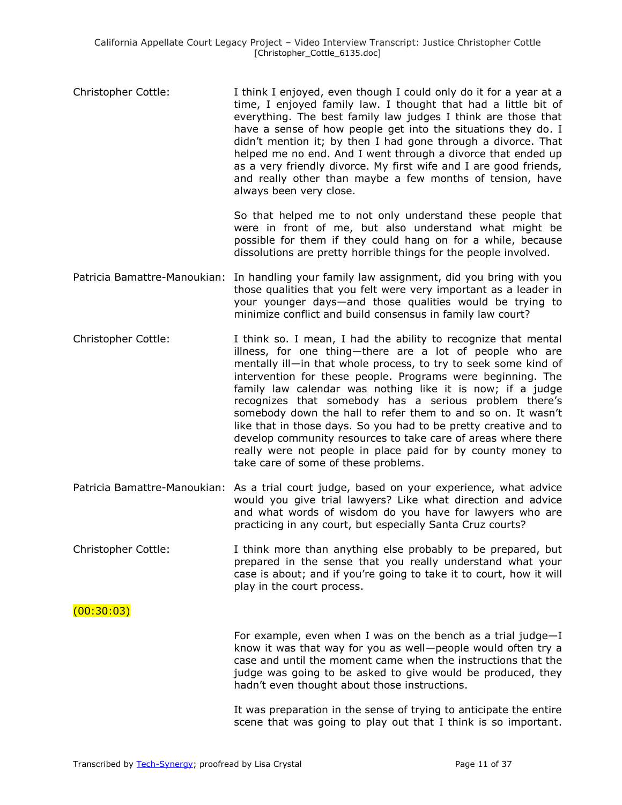Christopher Cottle: I think I enjoyed, even though I could only do it for a year at a time, I enjoyed family law. I thought that had a little bit of everything. The best family law judges I think are those that have a sense of how people get into the situations they do. I didn't mention it; by then I had gone through a divorce. That helped me no end. And I went through a divorce that ended up as a very friendly divorce. My first wife and I are good friends, and really other than maybe a few months of tension, have always been very close.

> So that helped me to not only understand these people that were in front of me, but also understand what might be possible for them if they could hang on for a while, because dissolutions are pretty horrible things for the people involved.

- Patricia Bamattre-Manoukian: In handling your family law assignment, did you bring with you those qualities that you felt were very important as a leader in your younger days—and those qualities would be trying to minimize conflict and build consensus in family law court?
- Christopher Cottle: I think so. I mean, I had the ability to recognize that mental illness, for one thing—there are a lot of people who are mentally ill—in that whole process, to try to seek some kind of intervention for these people. Programs were beginning. The family law calendar was nothing like it is now; if a judge recognizes that somebody has a serious problem there's somebody down the hall to refer them to and so on. It wasn't like that in those days. So you had to be pretty creative and to develop community resources to take care of areas where there really were not people in place paid for by county money to take care of some of these problems.
- Patricia Bamattre-Manoukian: As a trial court judge, based on your experience, what advice would you give trial lawyers? Like what direction and advice and what words of wisdom do you have for lawyers who are practicing in any court, but especially Santa Cruz courts?
- Christopher Cottle: I think more than anything else probably to be prepared, but prepared in the sense that you really understand what your case is about; and if you're going to take it to court, how it will play in the court process.

#### $(00:30:03)$

For example, even when I was on the bench as a trial judge—I know it was that way for you as well—people would often try a case and until the moment came when the instructions that the judge was going to be asked to give would be produced, they hadn't even thought about those instructions.

It was preparation in the sense of trying to anticipate the entire scene that was going to play out that I think is so important.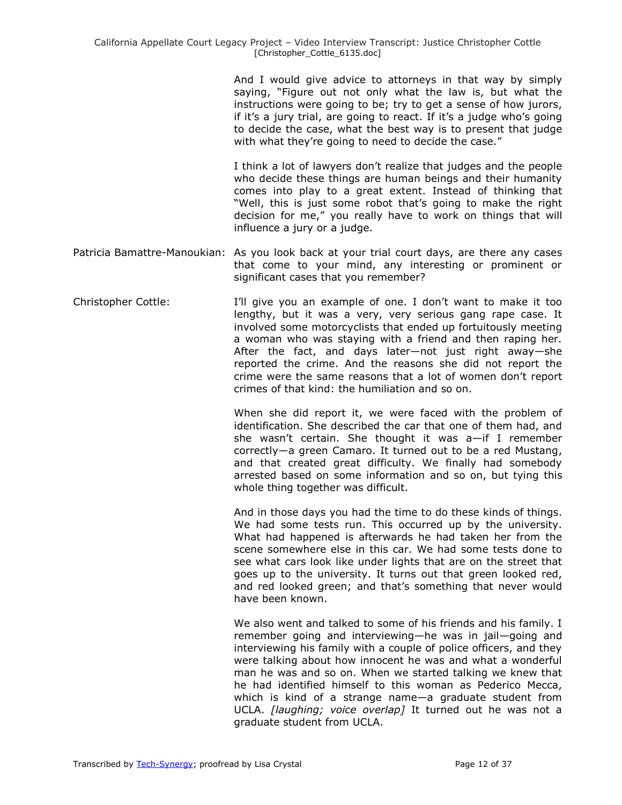And I would give advice to attorneys in that way by simply saying, "Figure out not only what the law is, but what the instructions were going to be; try to get a sense of how jurors, if it's a jury trial, are going to react. If it's a judge who's going to decide the case, what the best way is to present that judge with what they're going to need to decide the case."

I think a lot of lawyers don't realize that judges and the people who decide these things are human beings and their humanity comes into play to a great extent. Instead of thinking that "Well, this is just some robot that's going to make the right decision for me," you really have to work on things that will influence a jury or a judge.

- Patricia Bamattre-Manoukian: As you look back at your trial court days, are there any cases that come to your mind, any interesting or prominent or significant cases that you remember?
- Christopher Cottle: I'll give you an example of one. I don't want to make it too lengthy, but it was a very, very serious gang rape case. It involved some motorcyclists that ended up fortuitously meeting a woman who was staying with a friend and then raping her. After the fact, and days later—not just right away—she reported the crime. And the reasons she did not report the crime were the same reasons that a lot of women don't report crimes of that kind: the humiliation and so on.

When she did report it, we were faced with the problem of identification. She described the car that one of them had, and she wasn't certain. She thought it was a—if I remember correctly—a green Camaro. It turned out to be a red Mustang, and that created great difficulty. We finally had somebody arrested based on some information and so on, but tying this whole thing together was difficult.

And in those days you had the time to do these kinds of things. We had some tests run. This occurred up by the university. What had happened is afterwards he had taken her from the scene somewhere else in this car. We had some tests done to see what cars look like under lights that are on the street that goes up to the university. It turns out that green looked red, and red looked green; and that's something that never would have been known.

We also went and talked to some of his friends and his family. I remember going and interviewing—he was in jail—going and interviewing his family with a couple of police officers, and they were talking about how innocent he was and what a wonderful man he was and so on. When we started talking we knew that he had identified himself to this woman as Pederico Mecca, which is kind of a strange name—a graduate student from UCLA. *[laughing; voice overlap]* It turned out he was not a graduate student from UCLA.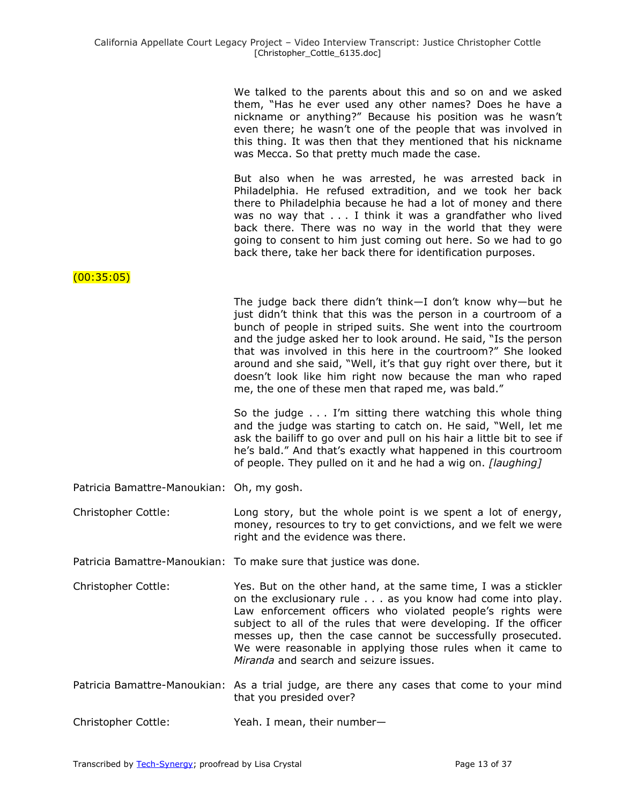| We talked to the parents about this and so on and we asked    |
|---------------------------------------------------------------|
| them, "Has he ever used any other names? Does he have a       |
| nickname or anything?" Because his position was he wasn't     |
| even there; he wasn't one of the people that was involved in  |
| this thing. It was then that they mentioned that his nickname |
| was Mecca. So that pretty much made the case.                 |

But also when he was arrested, he was arrested back in Philadelphia. He refused extradition, and we took her back there to Philadelphia because he had a lot of money and there was no way that . . . I think it was a grandfather who lived back there. There was no way in the world that they were going to consent to him just coming out here. So we had to go back there, take her back there for identification purposes.

(00:35:05)

The judge back there didn't think—I don't know why—but he just didn't think that this was the person in a courtroom of a bunch of people in striped suits. She went into the courtroom and the judge asked her to look around. He said, "Is the person that was involved in this here in the courtroom?" She looked around and she said, "Well, it's that guy right over there, but it doesn't look like him right now because the man who raped me, the one of these men that raped me, was bald."

So the judge . . . I'm sitting there watching this whole thing and the judge was starting to catch on. He said, "Well, let me ask the bailiff to go over and pull on his hair a little bit to see if he's bald." And that's exactly what happened in this courtroom of people. They pulled on it and he had a wig on. *[laughing]*

Patricia Bamattre-Manoukian: Oh, my gosh.

Christopher Cottle: Long story, but the whole point is we spent a lot of energy, money, resources to try to get convictions, and we felt we were right and the evidence was there.

Patricia Bamattre-Manoukian: To make sure that justice was done.

- Christopher Cottle: Yes. But on the other hand, at the same time, I was a stickler on the exclusionary rule . . . as you know had come into play. Law enforcement officers who violated people's rights were subject to all of the rules that were developing. If the officer messes up, then the case cannot be successfully prosecuted. We were reasonable in applying those rules when it came to *Miranda* and search and seizure issues.
- Patricia Bamattre-Manoukian: As a trial judge, are there any cases that come to your mind that you presided over?
- Christopher Cottle: Yeah. I mean, their number—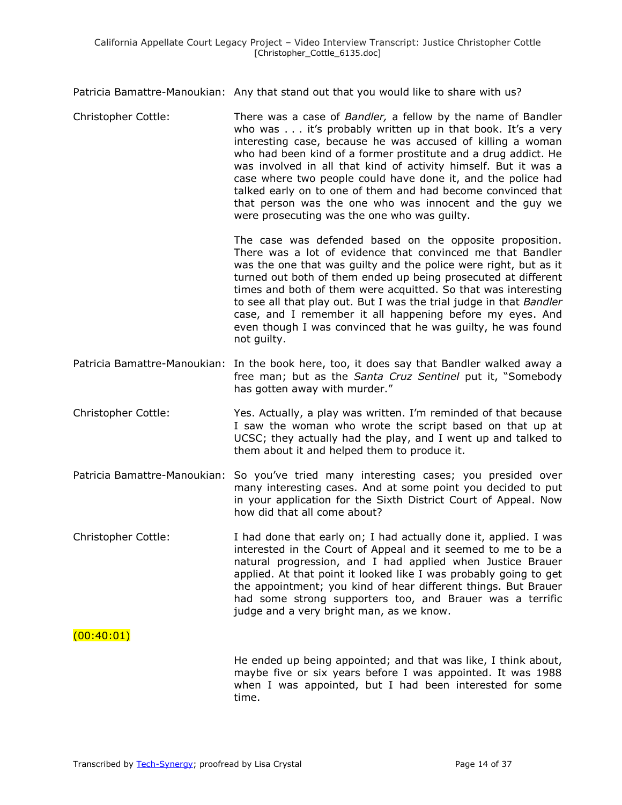Patricia Bamattre-Manoukian: Any that stand out that you would like to share with us?

Christopher Cottle: There was a case of *Bandler,* a fellow by the name of Bandler who was . . . it's probably written up in that book. It's a very interesting case, because he was accused of killing a woman who had been kind of a former prostitute and a drug addict. He was involved in all that kind of activity himself. But it was a case where two people could have done it, and the police had talked early on to one of them and had become convinced that that person was the one who was innocent and the guy we were prosecuting was the one who was guilty.

> The case was defended based on the opposite proposition. There was a lot of evidence that convinced me that Bandler was the one that was guilty and the police were right, but as it turned out both of them ended up being prosecuted at different times and both of them were acquitted. So that was interesting to see all that play out. But I was the trial judge in that *Bandler* case, and I remember it all happening before my eyes. And even though I was convinced that he was guilty, he was found not guilty.

- Patricia Bamattre-Manoukian: In the book here, too, it does say that Bandler walked away a free man; but as the *Santa Cruz Sentinel* put it, "Somebody has gotten away with murder."
- Christopher Cottle: Yes. Actually, a play was written. I'm reminded of that because I saw the woman who wrote the script based on that up at UCSC; they actually had the play, and I went up and talked to them about it and helped them to produce it.
- Patricia Bamattre-Manoukian: So you've tried many interesting cases; you presided over many interesting cases. And at some point you decided to put in your application for the Sixth District Court of Appeal. Now how did that all come about?
- Christopher Cottle: I had done that early on; I had actually done it, applied. I was interested in the Court of Appeal and it seemed to me to be a natural progression, and I had applied when Justice Brauer applied. At that point it looked like I was probably going to get the appointment; you kind of hear different things. But Brauer had some strong supporters too, and Brauer was a terrific judge and a very bright man, as we know.

### $(00:40:01)$

He ended up being appointed; and that was like, I think about, maybe five or six years before I was appointed. It was 1988 when I was appointed, but I had been interested for some time.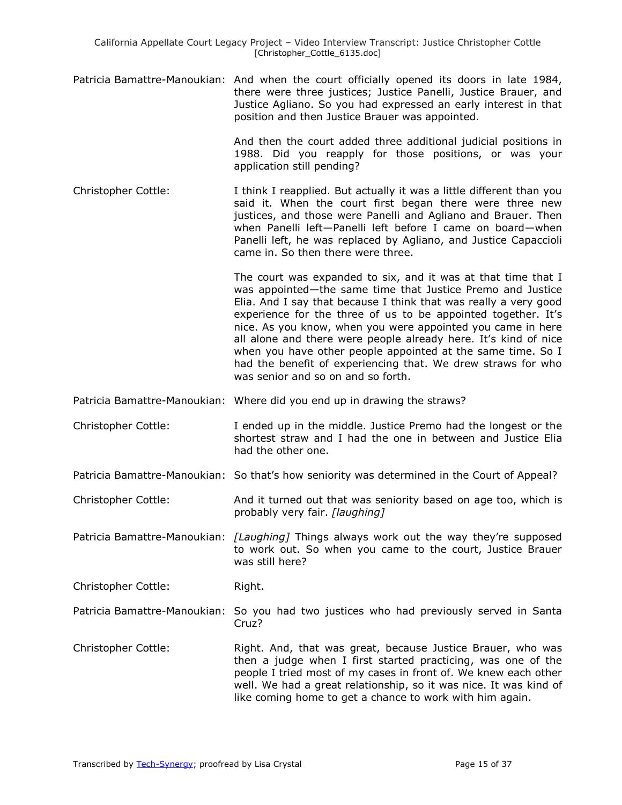Patricia Bamattre-Manoukian: And when the court officially opened its doors in late 1984, there were three justices; Justice Panelli, Justice Brauer, and Justice Agliano. So you had expressed an early interest in that position and then Justice Brauer was appointed.

> And then the court added three additional judicial positions in 1988. Did you reapply for those positions, or was your application still pending?

Christopher Cottle: I think I reapplied. But actually it was a little different than you said it. When the court first began there were three new justices, and those were Panelli and Agliano and Brauer. Then when Panelli left—Panelli left before I came on board—when Panelli left, he was replaced by Agliano, and Justice Capaccioli came in. So then there were three.

The court was expanded to six, and it was at that time that I was appointed—the same time that Justice Premo and Justice Elia. And I say that because I think that was really a very good experience for the three of us to be appointed together. It's nice. As you know, when you were appointed you came in here all alone and there were people already here. It's kind of nice when you have other people appointed at the same time. So I had the benefit of experiencing that. We drew straws for who was senior and so on and so forth.

- Patricia Bamattre-Manoukian: Where did you end up in drawing the straws?
- Christopher Cottle: I ended up in the middle. Justice Premo had the longest or the shortest straw and I had the one in between and Justice Elia had the other one.
- Patricia Bamattre-Manoukian: So that's how seniority was determined in the Court of Appeal?
- Christopher Cottle: And it turned out that was seniority based on age too, which is probably very fair. *[laughing]*

Patricia Bamattre-Manoukian: *[Laughing]* Things always work out the way they're supposed to work out. So when you came to the court, Justice Brauer was still here?

Christopher Cottle: Right.

- Patricia Bamattre-Manoukian: So you had two justices who had previously served in Santa Cruz?
- Christopher Cottle: Right. And, that was great, because Justice Brauer, who was then a judge when I first started practicing, was one of the people I tried most of my cases in front of. We knew each other well. We had a great relationship, so it was nice. It was kind of like coming home to get a chance to work with him again.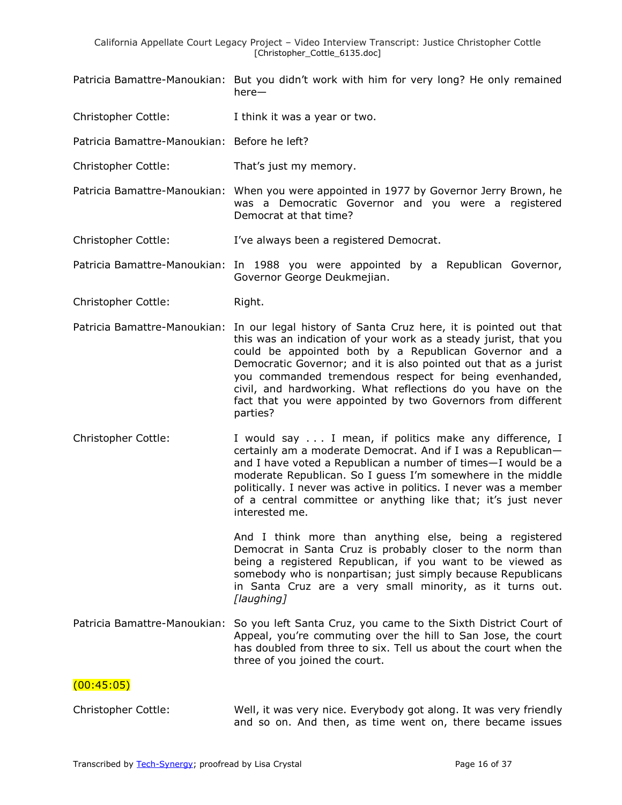- Patricia Bamattre-Manoukian: But you didn't work with him for very long? He only remained here—
- Christopher Cottle: I think it was a year or two.
- Patricia Bamattre-Manoukian: Before he left?
- Christopher Cottle: That's just my memory.
- Patricia Bamattre-Manoukian: When you were appointed in 1977 by Governor Jerry Brown, he was a Democratic Governor and you were a registered Democrat at that time?
- Christopher Cottle: I've always been a registered Democrat.

Patricia Bamattre-Manoukian: In 1988 you were appointed by a Republican Governor, Governor George Deukmejian.

- Christopher Cottle: Right.
- Patricia Bamattre-Manoukian: In our legal history of Santa Cruz here, it is pointed out that this was an indication of your work as a steady jurist, that you could be appointed both by a Republican Governor and a Democratic Governor; and it is also pointed out that as a jurist you commanded tremendous respect for being evenhanded, civil, and hardworking. What reflections do you have on the fact that you were appointed by two Governors from different parties?
- Christopher Cottle: I would say . . . I mean, if politics make any difference, I certainly am a moderate Democrat. And if I was a Republican and I have voted a Republican a number of times—I would be a moderate Republican. So I guess I'm somewhere in the middle politically. I never was active in politics. I never was a member of a central committee or anything like that; it's just never interested me.

And I think more than anything else, being a registered Democrat in Santa Cruz is probably closer to the norm than being a registered Republican, if you want to be viewed as somebody who is nonpartisan; just simply because Republicans in Santa Cruz are a very small minority, as it turns out. *[laughing]*

Patricia Bamattre-Manoukian: So you left Santa Cruz, you came to the Sixth District Court of Appeal, you're commuting over the hill to San Jose, the court has doubled from three to six. Tell us about the court when the three of you joined the court.

### $(00:45:05)$

| Christopher Cottle: |  | Well, it was very nice. Everybody got along. It was very friendly |  |  |
|---------------------|--|-------------------------------------------------------------------|--|--|
|                     |  | and so on. And then, as time went on, there became issues         |  |  |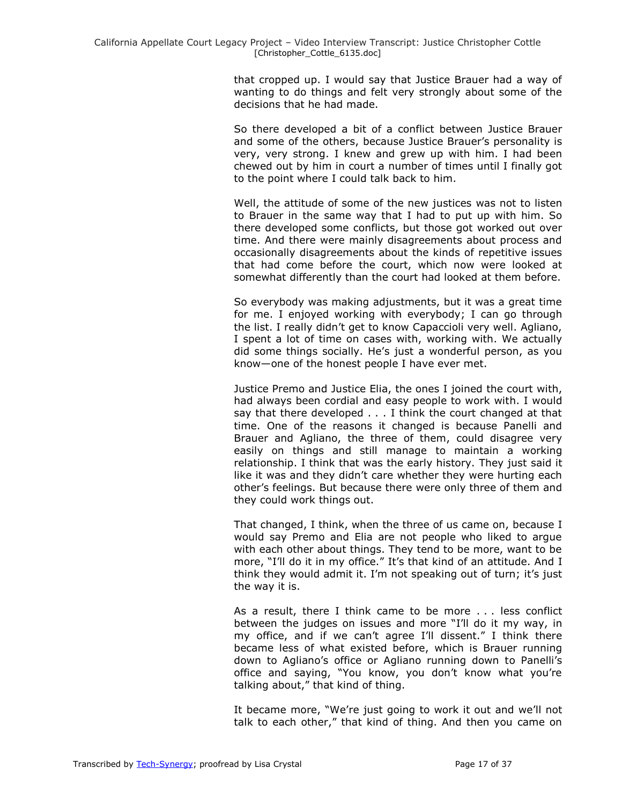that cropped up. I would say that Justice Brauer had a way of wanting to do things and felt very strongly about some of the decisions that he had made.

So there developed a bit of a conflict between Justice Brauer and some of the others, because Justice Brauer's personality is very, very strong. I knew and grew up with him. I had been chewed out by him in court a number of times until I finally got to the point where I could talk back to him.

Well, the attitude of some of the new justices was not to listen to Brauer in the same way that I had to put up with him. So there developed some conflicts, but those got worked out over time. And there were mainly disagreements about process and occasionally disagreements about the kinds of repetitive issues that had come before the court, which now were looked at somewhat differently than the court had looked at them before.

So everybody was making adjustments, but it was a great time for me. I enjoyed working with everybody; I can go through the list. I really didn't get to know Capaccioli very well. Agliano, I spent a lot of time on cases with, working with. We actually did some things socially. He's just a wonderful person, as you know—one of the honest people I have ever met.

Justice Premo and Justice Elia, the ones I joined the court with, had always been cordial and easy people to work with. I would say that there developed . . . I think the court changed at that time. One of the reasons it changed is because Panelli and Brauer and Agliano, the three of them, could disagree very easily on things and still manage to maintain a working relationship. I think that was the early history. They just said it like it was and they didn't care whether they were hurting each other's feelings. But because there were only three of them and they could work things out.

That changed, I think, when the three of us came on, because I would say Premo and Elia are not people who liked to argue with each other about things. They tend to be more, want to be more, "I'll do it in my office." It's that kind of an attitude. And I think they would admit it. I'm not speaking out of turn; it's just the way it is.

As a result, there I think came to be more . . . less conflict between the judges on issues and more "I'll do it my way, in my office, and if we can't agree I'll dissent." I think there became less of what existed before, which is Brauer running down to Agliano's office or Agliano running down to Panelli's office and saying, "You know, you don't know what you're talking about," that kind of thing.

It became more, "We're just going to work it out and we'll not talk to each other," that kind of thing. And then you came on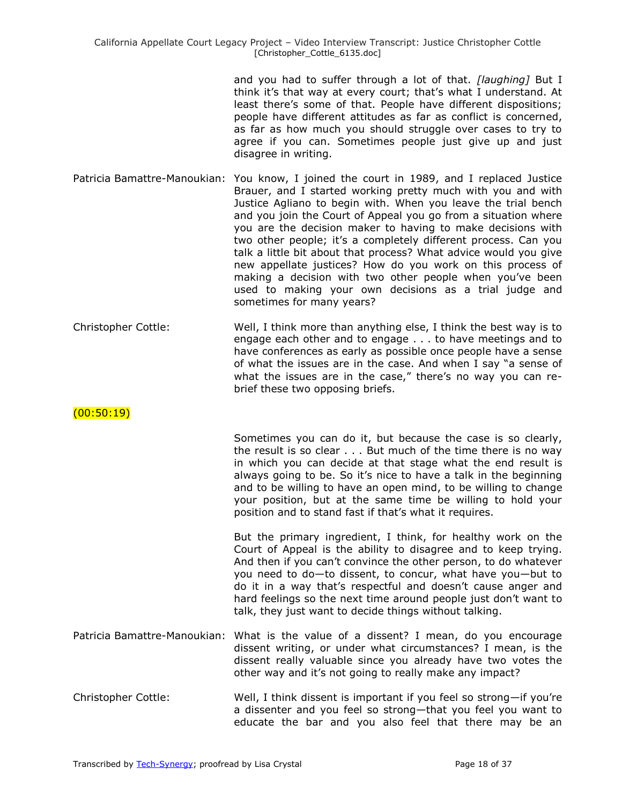and you had to suffer through a lot of that. *[laughing]* But I think it's that way at every court; that's what I understand. At least there's some of that. People have different dispositions; people have different attitudes as far as conflict is concerned, as far as how much you should struggle over cases to try to agree if you can. Sometimes people just give up and just disagree in writing.

- Patricia Bamattre-Manoukian: You know, I joined the court in 1989, and I replaced Justice Brauer, and I started working pretty much with you and with Justice Agliano to begin with. When you leave the trial bench and you join the Court of Appeal you go from a situation where you are the decision maker to having to make decisions with two other people; it's a completely different process. Can you talk a little bit about that process? What advice would you give new appellate justices? How do you work on this process of making a decision with two other people when you've been used to making your own decisions as a trial judge and sometimes for many years?
- Christopher Cottle: Well, I think more than anything else, I think the best way is to engage each other and to engage . . . to have meetings and to have conferences as early as possible once people have a sense of what the issues are in the case. And when I say "a sense of what the issues are in the case," there's no way you can rebrief these two opposing briefs.

# $(00:50:19)$

Sometimes you can do it, but because the case is so clearly, the result is so clear . . . But much of the time there is no way in which you can decide at that stage what the end result is always going to be. So it's nice to have a talk in the beginning and to be willing to have an open mind, to be willing to change your position, but at the same time be willing to hold your position and to stand fast if that's what it requires.

But the primary ingredient, I think, for healthy work on the Court of Appeal is the ability to disagree and to keep trying. And then if you can't convince the other person, to do whatever you need to do—to dissent, to concur, what have you—but to do it in a way that's respectful and doesn't cause anger and hard feelings so the next time around people just don't want to talk, they just want to decide things without talking.

- Patricia Bamattre-Manoukian: What is the value of a dissent? I mean, do you encourage dissent writing, or under what circumstances? I mean, is the dissent really valuable since you already have two votes the other way and it's not going to really make any impact?
- Christopher Cottle: Well, I think dissent is important if you feel so strong—if you're a dissenter and you feel so strong—that you feel you want to educate the bar and you also feel that there may be an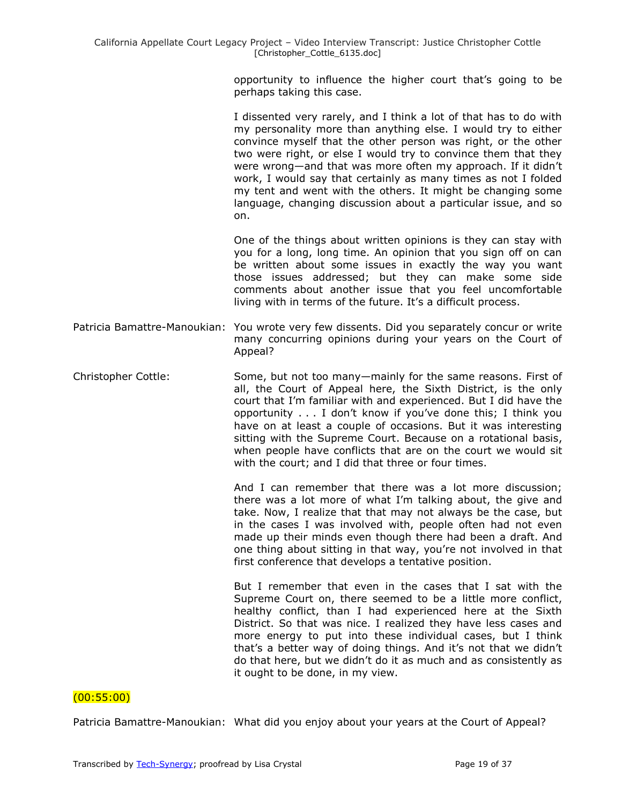opportunity to influence the higher court that's going to be perhaps taking this case.

I dissented very rarely, and I think a lot of that has to do with my personality more than anything else. I would try to either convince myself that the other person was right, or the other two were right, or else I would try to convince them that they were wrong—and that was more often my approach. If it didn't work, I would say that certainly as many times as not I folded my tent and went with the others. It might be changing some language, changing discussion about a particular issue, and so on.

One of the things about written opinions is they can stay with you for a long, long time. An opinion that you sign off on can be written about some issues in exactly the way you want those issues addressed; but they can make some side comments about another issue that you feel uncomfortable living with in terms of the future. It's a difficult process.

- Patricia Bamattre-Manoukian: You wrote very few dissents. Did you separately concur or write many concurring opinions during your years on the Court of Appeal?
- Christopher Cottle: Some, but not too many—mainly for the same reasons. First of all, the Court of Appeal here, the Sixth District, is the only court that I'm familiar with and experienced. But I did have the opportunity . . . I don't know if you've done this; I think you have on at least a couple of occasions. But it was interesting sitting with the Supreme Court. Because on a rotational basis, when people have conflicts that are on the court we would sit with the court; and I did that three or four times.

And I can remember that there was a lot more discussion; there was a lot more of what I'm talking about, the give and take. Now, I realize that that may not always be the case, but in the cases I was involved with, people often had not even made up their minds even though there had been a draft. And one thing about sitting in that way, you're not involved in that first conference that develops a tentative position.

But I remember that even in the cases that I sat with the Supreme Court on, there seemed to be a little more conflict, healthy conflict, than I had experienced here at the Sixth District. So that was nice. I realized they have less cases and more energy to put into these individual cases, but I think that's a better way of doing things. And it's not that we didn't do that here, but we didn't do it as much and as consistently as it ought to be done, in my view.

#### (00:55:00)

Patricia Bamattre-Manoukian: What did you enjoy about your years at the Court of Appeal?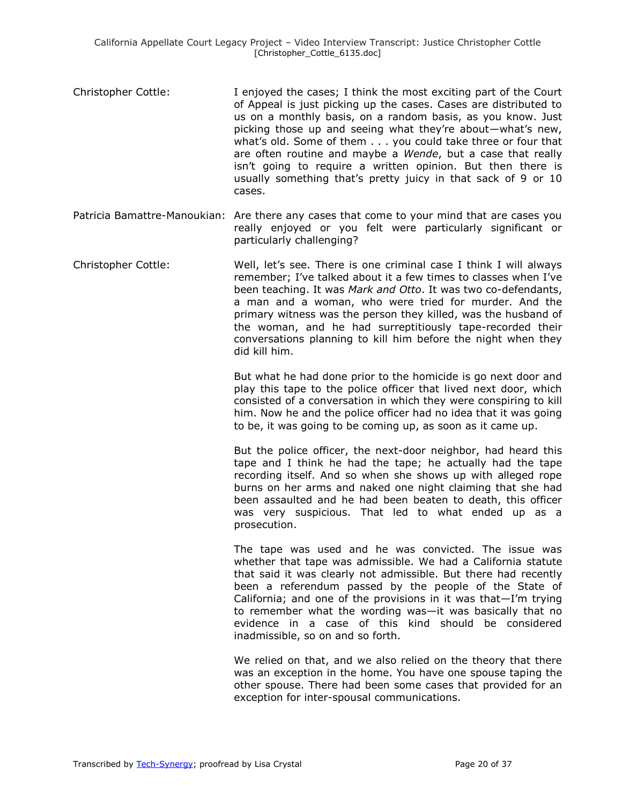- Christopher Cottle: I enjoyed the cases; I think the most exciting part of the Court of Appeal is just picking up the cases. Cases are distributed to us on a monthly basis, on a random basis, as you know. Just picking those up and seeing what they're about—what's new, what's old. Some of them . . . you could take three or four that are often routine and maybe a *Wende*, but a case that really isn't going to require a written opinion. But then there is usually something that's pretty juicy in that sack of 9 or 10 cases.
- Patricia Bamattre-Manoukian: Are there any cases that come to your mind that are cases you really enjoyed or you felt were particularly significant or particularly challenging?
- Christopher Cottle: Well, let's see. There is one criminal case I think I will always remember; I've talked about it a few times to classes when I've been teaching. It was *Mark and Otto*. It was two co-defendants, a man and a woman, who were tried for murder. And the primary witness was the person they killed, was the husband of the woman, and he had surreptitiously tape-recorded their conversations planning to kill him before the night when they did kill him.

But what he had done prior to the homicide is go next door and play this tape to the police officer that lived next door, which consisted of a conversation in which they were conspiring to kill him. Now he and the police officer had no idea that it was going to be, it was going to be coming up, as soon as it came up.

But the police officer, the next-door neighbor, had heard this tape and I think he had the tape; he actually had the tape recording itself. And so when she shows up with alleged rope burns on her arms and naked one night claiming that she had been assaulted and he had been beaten to death, this officer was very suspicious. That led to what ended up as a prosecution.

The tape was used and he was convicted. The issue was whether that tape was admissible. We had a California statute that said it was clearly not admissible. But there had recently been a referendum passed by the people of the State of California; and one of the provisions in it was that—I'm trying to remember what the wording was—it was basically that no evidence in a case of this kind should be considered inadmissible, so on and so forth.

We relied on that, and we also relied on the theory that there was an exception in the home. You have one spouse taping the other spouse. There had been some cases that provided for an exception for inter-spousal communications.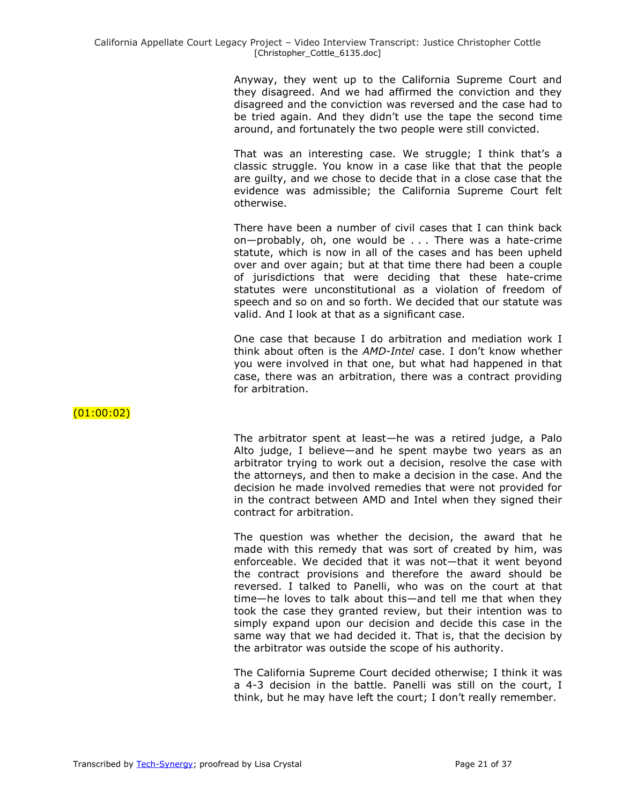Anyway, they went up to the California Supreme Court and they disagreed. And we had affirmed the conviction and they disagreed and the conviction was reversed and the case had to be tried again. And they didn't use the tape the second time around, and fortunately the two people were still convicted.

That was an interesting case. We struggle; I think that's a classic struggle. You know in a case like that that the people are guilty, and we chose to decide that in a close case that the evidence was admissible; the California Supreme Court felt otherwise.

There have been a number of civil cases that I can think back on—probably, oh, one would be . . . There was a hate-crime statute, which is now in all of the cases and has been upheld over and over again; but at that time there had been a couple of jurisdictions that were deciding that these hate-crime statutes were unconstitutional as a violation of freedom of speech and so on and so forth. We decided that our statute was valid. And I look at that as a significant case.

One case that because I do arbitration and mediation work I think about often is the *AMD-Intel* case. I don't know whether you were involved in that one, but what had happened in that case, there was an arbitration, there was a contract providing for arbitration.

# $(01:00:02)$

The arbitrator spent at least—he was a retired judge, a Palo Alto judge, I believe—and he spent maybe two years as an arbitrator trying to work out a decision, resolve the case with the attorneys, and then to make a decision in the case. And the decision he made involved remedies that were not provided for in the contract between AMD and Intel when they signed their contract for arbitration.

The question was whether the decision, the award that he made with this remedy that was sort of created by him, was enforceable. We decided that it was not—that it went beyond the contract provisions and therefore the award should be reversed. I talked to Panelli, who was on the court at that time—he loves to talk about this—and tell me that when they took the case they granted review, but their intention was to simply expand upon our decision and decide this case in the same way that we had decided it. That is, that the decision by the arbitrator was outside the scope of his authority.

The California Supreme Court decided otherwise; I think it was a 4-3 decision in the battle. Panelli was still on the court, I think, but he may have left the court; I don't really remember.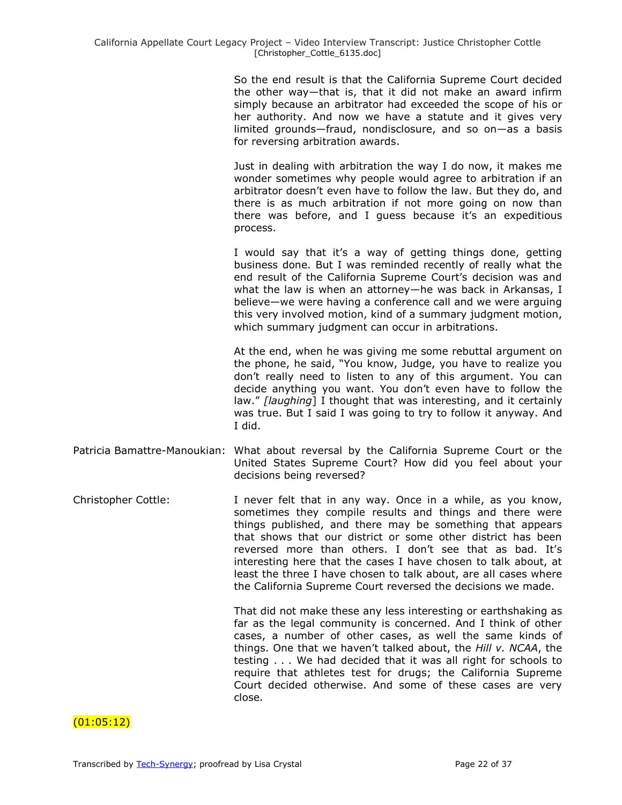So the end result is that the California Supreme Court decided the other way—that is, that it did not make an award infirm simply because an arbitrator had exceeded the scope of his or her authority. And now we have a statute and it gives very limited grounds—fraud, nondisclosure, and so on—as a basis for reversing arbitration awards.

Just in dealing with arbitration the way I do now, it makes me wonder sometimes why people would agree to arbitration if an arbitrator doesn't even have to follow the law. But they do, and there is as much arbitration if not more going on now than there was before, and I guess because it's an expeditious process.

I would say that it's a way of getting things done, getting business done. But I was reminded recently of really what the end result of the California Supreme Court's decision was and what the law is when an attorney—he was back in Arkansas, I believe—we were having a conference call and we were arguing this very involved motion, kind of a summary judgment motion, which summary judgment can occur in arbitrations.

At the end, when he was giving me some rebuttal argument on the phone, he said, "You know, Judge, you have to realize you don't really need to listen to any of this argument. You can decide anything you want. You don't even have to follow the law.‖ *[laughing*] I thought that was interesting, and it certainly was true. But I said I was going to try to follow it anyway. And I did.

- Patricia Bamattre-Manoukian: What about reversal by the California Supreme Court or the United States Supreme Court? How did you feel about your decisions being reversed?
- Christopher Cottle: I never felt that in any way. Once in a while, as you know, sometimes they compile results and things and there were things published, and there may be something that appears that shows that our district or some other district has been reversed more than others. I don't see that as bad. It's interesting here that the cases I have chosen to talk about, at least the three I have chosen to talk about, are all cases where the California Supreme Court reversed the decisions we made.

That did not make these any less interesting or earthshaking as far as the legal community is concerned. And I think of other cases, a number of other cases, as well the same kinds of things. One that we haven't talked about, the *Hill v. NCAA*, the testing . . . We had decided that it was all right for schools to require that athletes test for drugs; the California Supreme Court decided otherwise. And some of these cases are very close.

# $(01:05:12)$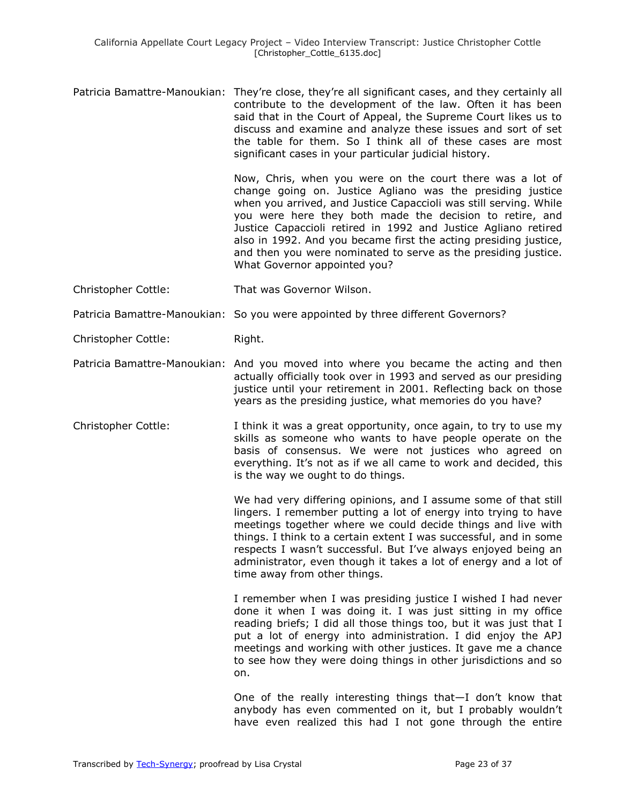Patricia Bamattre-Manoukian: They're close, they're all significant cases, and they certainly all contribute to the development of the law. Often it has been said that in the Court of Appeal, the Supreme Court likes us to discuss and examine and analyze these issues and sort of set the table for them. So I think all of these cases are most significant cases in your particular judicial history.

> Now, Chris, when you were on the court there was a lot of change going on. Justice Agliano was the presiding justice when you arrived, and Justice Capaccioli was still serving. While you were here they both made the decision to retire, and Justice Capaccioli retired in 1992 and Justice Agliano retired also in 1992. And you became first the acting presiding justice, and then you were nominated to serve as the presiding justice. What Governor appointed you?

- Christopher Cottle: That was Governor Wilson.
- Patricia Bamattre-Manoukian: So you were appointed by three different Governors?

Christopher Cottle: Right.

- Patricia Bamattre-Manoukian: And you moved into where you became the acting and then actually officially took over in 1993 and served as our presiding justice until your retirement in 2001. Reflecting back on those years as the presiding justice, what memories do you have?
- Christopher Cottle: I think it was a great opportunity, once again, to try to use my skills as someone who wants to have people operate on the basis of consensus. We were not justices who agreed on everything. It's not as if we all came to work and decided, this is the way we ought to do things.

We had very differing opinions, and I assume some of that still lingers. I remember putting a lot of energy into trying to have meetings together where we could decide things and live with things. I think to a certain extent I was successful, and in some respects I wasn't successful. But I've always enjoyed being an administrator, even though it takes a lot of energy and a lot of time away from other things.

I remember when I was presiding justice I wished I had never done it when I was doing it. I was just sitting in my office reading briefs; I did all those things too, but it was just that I put a lot of energy into administration. I did enjoy the APJ meetings and working with other justices. It gave me a chance to see how they were doing things in other jurisdictions and so on.

One of the really interesting things that—I don't know that anybody has even commented on it, but I probably wouldn't have even realized this had I not gone through the entire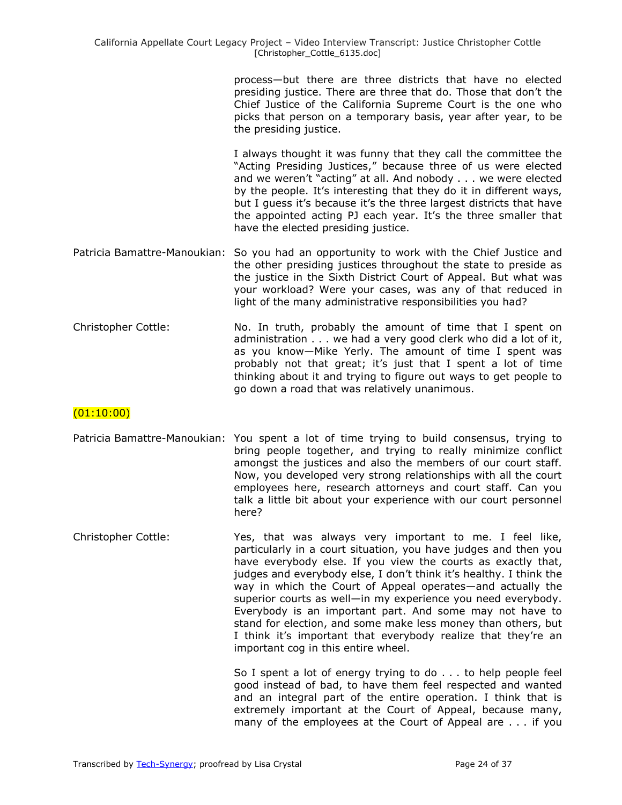process—but there are three districts that have no elected presiding justice. There are three that do. Those that don't the Chief Justice of the California Supreme Court is the one who picks that person on a temporary basis, year after year, to be the presiding justice.

I always thought it was funny that they call the committee the "Acting Presiding Justices," because three of us were elected and we weren't "acting" at all. And nobody . . . we were elected by the people. It's interesting that they do it in different ways, but I guess it's because it's the three largest districts that have the appointed acting PJ each year. It's the three smaller that have the elected presiding justice.

- Patricia Bamattre-Manoukian: So you had an opportunity to work with the Chief Justice and the other presiding justices throughout the state to preside as the justice in the Sixth District Court of Appeal. But what was your workload? Were your cases, was any of that reduced in light of the many administrative responsibilities you had?
- Christopher Cottle: No. In truth, probably the amount of time that I spent on administration . . . we had a very good clerk who did a lot of it, as you know—Mike Yerly. The amount of time I spent was probably not that great; it's just that I spent a lot of time thinking about it and trying to figure out ways to get people to go down a road that was relatively unanimous.

# $(01:10:00)$

- Patricia Bamattre-Manoukian: You spent a lot of time trying to build consensus, trying to bring people together, and trying to really minimize conflict amongst the justices and also the members of our court staff. Now, you developed very strong relationships with all the court employees here, research attorneys and court staff. Can you talk a little bit about your experience with our court personnel here?
- Christopher Cottle: Yes, that was always very important to me. I feel like, particularly in a court situation, you have judges and then you have everybody else. If you view the courts as exactly that, judges and everybody else, I don't think it's healthy. I think the way in which the Court of Appeal operates—and actually the superior courts as well—in my experience you need everybody. Everybody is an important part. And some may not have to stand for election, and some make less money than others, but I think it's important that everybody realize that they're an important cog in this entire wheel.

So I spent a lot of energy trying to do . . . to help people feel good instead of bad, to have them feel respected and wanted and an integral part of the entire operation. I think that is extremely important at the Court of Appeal, because many, many of the employees at the Court of Appeal are . . . if you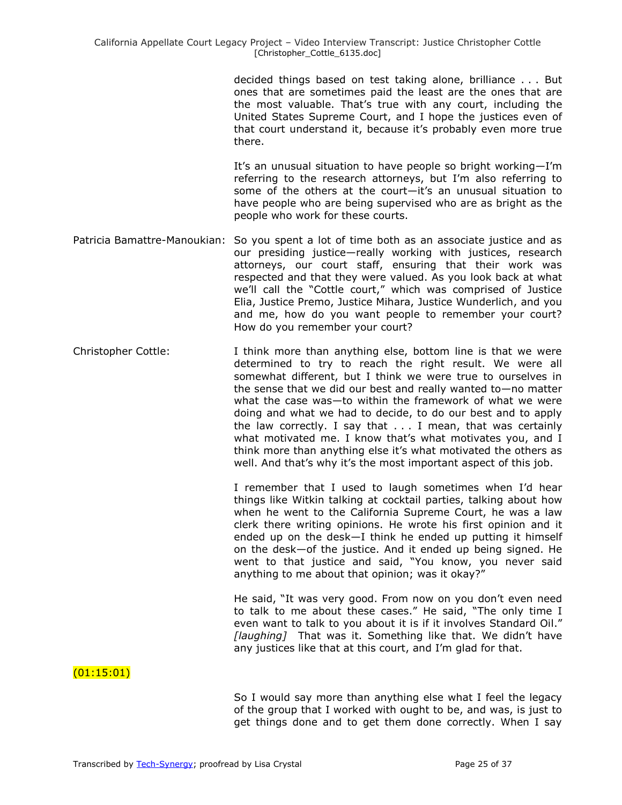decided things based on test taking alone, brilliance . . . But ones that are sometimes paid the least are the ones that are the most valuable. That's true with any court, including the United States Supreme Court, and I hope the justices even of that court understand it, because it's probably even more true there.

It's an unusual situation to have people so bright working—I'm referring to the research attorneys, but I'm also referring to some of the others at the court—it's an unusual situation to have people who are being supervised who are as bright as the people who work for these courts.

- Patricia Bamattre-Manoukian: So you spent a lot of time both as an associate justice and as our presiding justice—really working with justices, research attorneys, our court staff, ensuring that their work was respected and that they were valued. As you look back at what we'll call the "Cottle court," which was comprised of Justice Elia, Justice Premo, Justice Mihara, Justice Wunderlich, and you and me, how do you want people to remember your court? How do you remember your court?
- Christopher Cottle: I think more than anything else, bottom line is that we were determined to try to reach the right result. We were all somewhat different, but I think we were true to ourselves in the sense that we did our best and really wanted to—no matter what the case was—to within the framework of what we were doing and what we had to decide, to do our best and to apply the law correctly. I say that . . . I mean, that was certainly what motivated me. I know that's what motivates you, and I think more than anything else it's what motivated the others as well. And that's why it's the most important aspect of this job.

I remember that I used to laugh sometimes when I'd hear things like Witkin talking at cocktail parties, talking about how when he went to the California Supreme Court, he was a law clerk there writing opinions. He wrote his first opinion and it ended up on the desk—I think he ended up putting it himself on the desk—of the justice. And it ended up being signed. He went to that justice and said, "You know, you never said anything to me about that opinion; was it okay?"

He said, "It was very good. From now on you don't even need to talk to me about these cases." He said, "The only time I even want to talk to you about it is if it involves Standard Oil." *[laughing]* That was it. Something like that. We didn't have any justices like that at this court, and I'm glad for that.

### $(01:15:01)$

So I would say more than anything else what I feel the legacy of the group that I worked with ought to be, and was, is just to get things done and to get them done correctly. When I say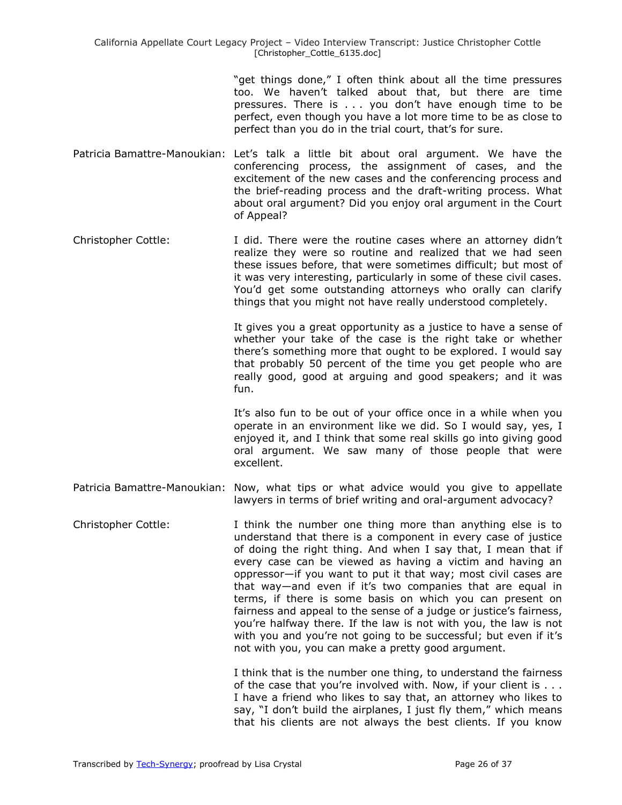"get things done," I often think about all the time pressures too. We haven't talked about that, but there are time pressures. There is . . . you don't have enough time to be perfect, even though you have a lot more time to be as close to perfect than you do in the trial court, that's for sure.

- Patricia Bamattre-Manoukian: Let's talk a little bit about oral argument. We have the conferencing process, the assignment of cases, and the excitement of the new cases and the conferencing process and the brief-reading process and the draft-writing process. What about oral argument? Did you enjoy oral argument in the Court of Appeal?
- Christopher Cottle: I did. There were the routine cases where an attorney didn't realize they were so routine and realized that we had seen these issues before, that were sometimes difficult; but most of it was very interesting, particularly in some of these civil cases. You'd get some outstanding attorneys who orally can clarify things that you might not have really understood completely.

It gives you a great opportunity as a justice to have a sense of whether your take of the case is the right take or whether there's something more that ought to be explored. I would say that probably 50 percent of the time you get people who are really good, good at arguing and good speakers; and it was fun.

It's also fun to be out of your office once in a while when you operate in an environment like we did. So I would say, yes, I enjoyed it, and I think that some real skills go into giving good oral argument. We saw many of those people that were excellent.

- Patricia Bamattre-Manoukian: Now, what tips or what advice would you give to appellate lawyers in terms of brief writing and oral-argument advocacy?
- Christopher Cottle: I think the number one thing more than anything else is to understand that there is a component in every case of justice of doing the right thing. And when I say that, I mean that if every case can be viewed as having a victim and having an oppressor—if you want to put it that way; most civil cases are that way—and even if it's two companies that are equal in terms, if there is some basis on which you can present on fairness and appeal to the sense of a judge or justice's fairness, you're halfway there. If the law is not with you, the law is not with you and you're not going to be successful; but even if it's not with you, you can make a pretty good argument.

I think that is the number one thing, to understand the fairness of the case that you're involved with. Now, if your client is . . . I have a friend who likes to say that, an attorney who likes to say, "I don't build the airplanes, I just fly them," which means that his clients are not always the best clients. If you know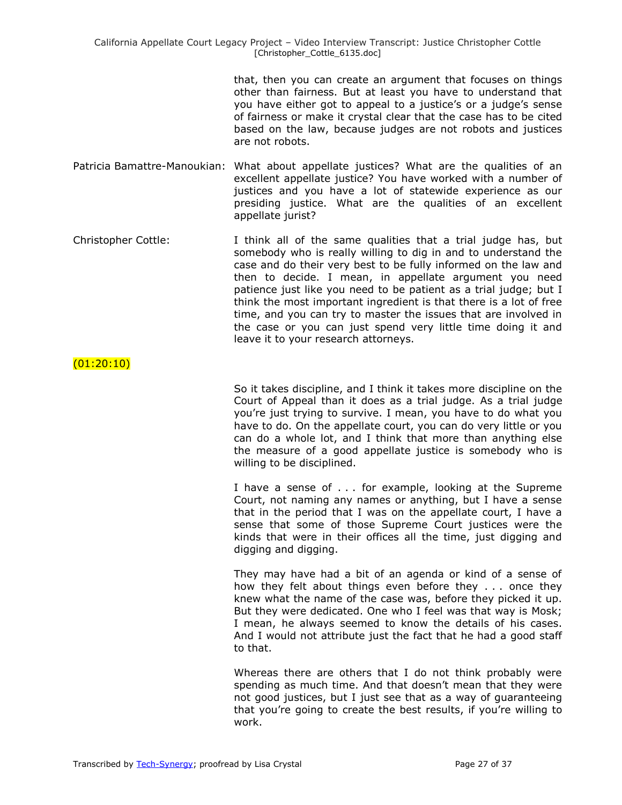that, then you can create an argument that focuses on things other than fairness. But at least you have to understand that you have either got to appeal to a justice's or a judge's sense of fairness or make it crystal clear that the case has to be cited based on the law, because judges are not robots and justices are not robots.

Patricia Bamattre-Manoukian: What about appellate justices? What are the qualities of an excellent appellate justice? You have worked with a number of justices and you have a lot of statewide experience as our presiding justice. What are the qualities of an excellent appellate jurist?

Christopher Cottle: I think all of the same qualities that a trial judge has, but somebody who is really willing to dig in and to understand the case and do their very best to be fully informed on the law and then to decide. I mean, in appellate argument you need patience just like you need to be patient as a trial judge; but I think the most important ingredient is that there is a lot of free time, and you can try to master the issues that are involved in the case or you can just spend very little time doing it and leave it to your research attorneys.

### $(01:20:10)$

So it takes discipline, and I think it takes more discipline on the Court of Appeal than it does as a trial judge. As a trial judge you're just trying to survive. I mean, you have to do what you have to do. On the appellate court, you can do very little or you can do a whole lot, and I think that more than anything else the measure of a good appellate justice is somebody who is willing to be disciplined.

I have a sense of . . . for example, looking at the Supreme Court, not naming any names or anything, but I have a sense that in the period that I was on the appellate court, I have a sense that some of those Supreme Court justices were the kinds that were in their offices all the time, just digging and digging and digging.

They may have had a bit of an agenda or kind of a sense of how they felt about things even before they . . . once they knew what the name of the case was, before they picked it up. But they were dedicated. One who I feel was that way is Mosk; I mean, he always seemed to know the details of his cases. And I would not attribute just the fact that he had a good staff to that.

Whereas there are others that I do not think probably were spending as much time. And that doesn't mean that they were not good justices, but I just see that as a way of guaranteeing that you're going to create the best results, if you're willing to work.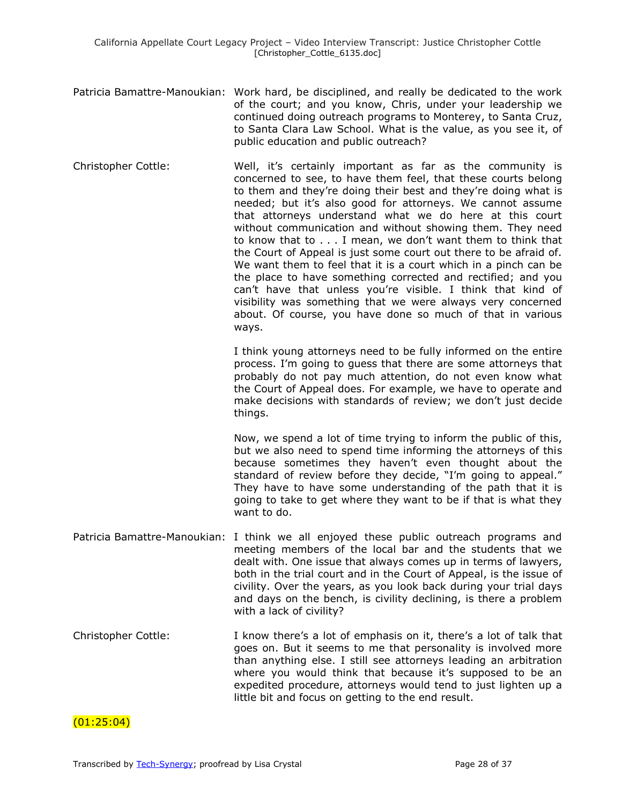- Patricia Bamattre-Manoukian: Work hard, be disciplined, and really be dedicated to the work of the court; and you know, Chris, under your leadership we continued doing outreach programs to Monterey, to Santa Cruz, to Santa Clara Law School. What is the value, as you see it, of public education and public outreach?
- Christopher Cottle: Well, it's certainly important as far as the community is concerned to see, to have them feel, that these courts belong to them and they're doing their best and they're doing what is needed; but it's also good for attorneys. We cannot assume that attorneys understand what we do here at this court without communication and without showing them. They need to know that to . . . I mean, we don't want them to think that the Court of Appeal is just some court out there to be afraid of. We want them to feel that it is a court which in a pinch can be the place to have something corrected and rectified; and you can't have that unless you're visible. I think that kind of visibility was something that we were always very concerned about. Of course, you have done so much of that in various ways.

I think young attorneys need to be fully informed on the entire process. I'm going to guess that there are some attorneys that probably do not pay much attention, do not even know what the Court of Appeal does. For example, we have to operate and make decisions with standards of review; we don't just decide things.

Now, we spend a lot of time trying to inform the public of this, but we also need to spend time informing the attorneys of this because sometimes they haven't even thought about the standard of review before they decide, "I'm going to appeal." They have to have some understanding of the path that it is going to take to get where they want to be if that is what they want to do.

- Patricia Bamattre-Manoukian: I think we all enjoyed these public outreach programs and meeting members of the local bar and the students that we dealt with. One issue that always comes up in terms of lawyers, both in the trial court and in the Court of Appeal, is the issue of civility. Over the years, as you look back during your trial days and days on the bench, is civility declining, is there a problem with a lack of civility?
- Christopher Cottle: I know there's a lot of emphasis on it, there's a lot of talk that goes on. But it seems to me that personality is involved more than anything else. I still see attorneys leading an arbitration where you would think that because it's supposed to be an expedited procedure, attorneys would tend to just lighten up a little bit and focus on getting to the end result.

 $(01:25:04)$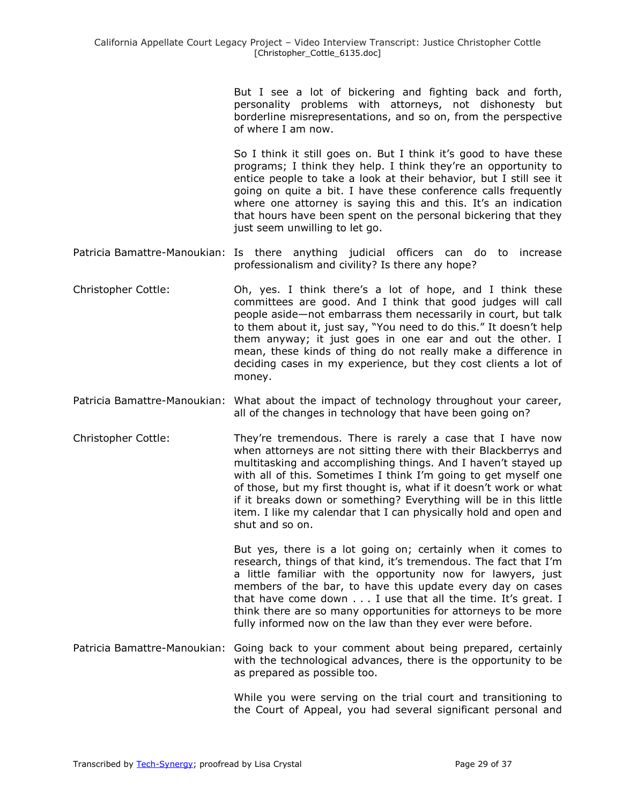But I see a lot of bickering and fighting back and forth, personality problems with attorneys, not dishonesty but borderline misrepresentations, and so on, from the perspective of where I am now.

So I think it still goes on. But I think it's good to have these programs; I think they help. I think they're an opportunity to entice people to take a look at their behavior, but I still see it going on quite a bit. I have these conference calls frequently where one attorney is saying this and this. It's an indication that hours have been spent on the personal bickering that they just seem unwilling to let go.

- Patricia Bamattre-Manoukian: Is there anything judicial officers can do to increase professionalism and civility? Is there any hope?
- Christopher Cottle: Oh, yes. I think there's a lot of hope, and I think these committees are good. And I think that good judges will call people aside—not embarrass them necessarily in court, but talk to them about it, just say, "You need to do this." It doesn't help them anyway; it just goes in one ear and out the other. I mean, these kinds of thing do not really make a difference in deciding cases in my experience, but they cost clients a lot of money.
- Patricia Bamattre-Manoukian: What about the impact of technology throughout your career, all of the changes in technology that have been going on?
- Christopher Cottle: They're tremendous. There is rarely a case that I have now when attorneys are not sitting there with their Blackberrys and multitasking and accomplishing things. And I haven't stayed up with all of this. Sometimes I think I'm going to get myself one of those, but my first thought is, what if it doesn't work or what if it breaks down or something? Everything will be in this little item. I like my calendar that I can physically hold and open and shut and so on.

But yes, there is a lot going on; certainly when it comes to research, things of that kind, it's tremendous. The fact that I'm a little familiar with the opportunity now for lawyers, just members of the bar, to have this update every day on cases that have come down . . . I use that all the time. It's great. I think there are so many opportunities for attorneys to be more fully informed now on the law than they ever were before.

Patricia Bamattre-Manoukian: Going back to your comment about being prepared, certainly with the technological advances, there is the opportunity to be as prepared as possible too.

> While you were serving on the trial court and transitioning to the Court of Appeal, you had several significant personal and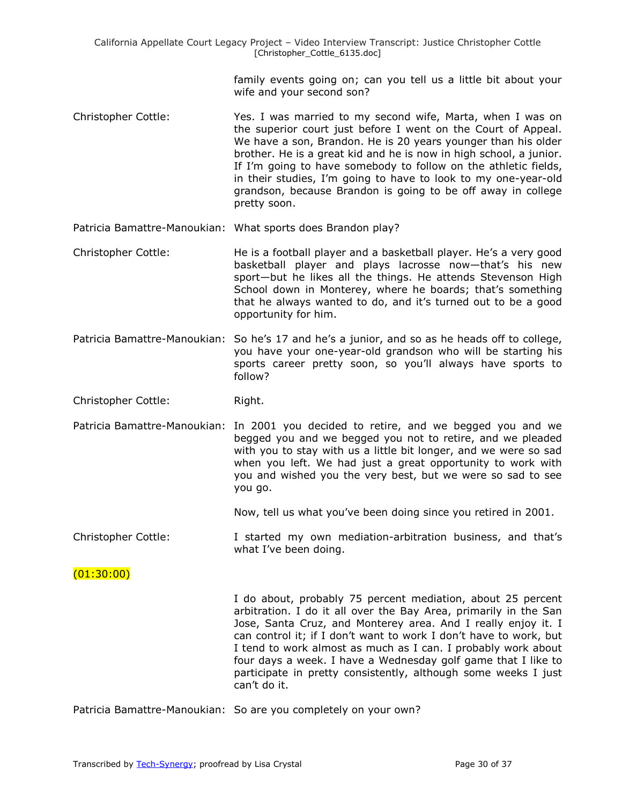> family events going on; can you tell us a little bit about your wife and your second son?

- Christopher Cottle: Yes. I was married to my second wife, Marta, when I was on the superior court just before I went on the Court of Appeal. We have a son, Brandon. He is 20 years younger than his older brother. He is a great kid and he is now in high school, a junior. If I'm going to have somebody to follow on the athletic fields, in their studies, I'm going to have to look to my one-year-old grandson, because Brandon is going to be off away in college pretty soon.
- Patricia Bamattre-Manoukian: What sports does Brandon play?
- Christopher Cottle: He is a football player and a basketball player. He's a very good basketball player and plays lacrosse now—that's his new sport—but he likes all the things. He attends Stevenson High School down in Monterey, where he boards; that's something that he always wanted to do, and it's turned out to be a good opportunity for him.
- Patricia Bamattre-Manoukian: So he's 17 and he's a junior, and so as he heads off to college, you have your one-year-old grandson who will be starting his sports career pretty soon, so you'll always have sports to follow?

Christopher Cottle: Right.

Patricia Bamattre-Manoukian: In 2001 you decided to retire, and we begged you and we begged you and we begged you not to retire, and we pleaded with you to stay with us a little bit longer, and we were so sad when you left. We had just a great opportunity to work with you and wished you the very best, but we were so sad to see you go.

Now, tell us what you've been doing since you retired in 2001.

Christopher Cottle: I started my own mediation-arbitration business, and that's what I've been doing.

(01:30:00)

I do about, probably 75 percent mediation, about 25 percent arbitration. I do it all over the Bay Area, primarily in the San Jose, Santa Cruz, and Monterey area. And I really enjoy it. I can control it; if I don't want to work I don't have to work, but I tend to work almost as much as I can. I probably work about four days a week. I have a Wednesday golf game that I like to participate in pretty consistently, although some weeks I just can't do it.

Patricia Bamattre-Manoukian: So are you completely on your own?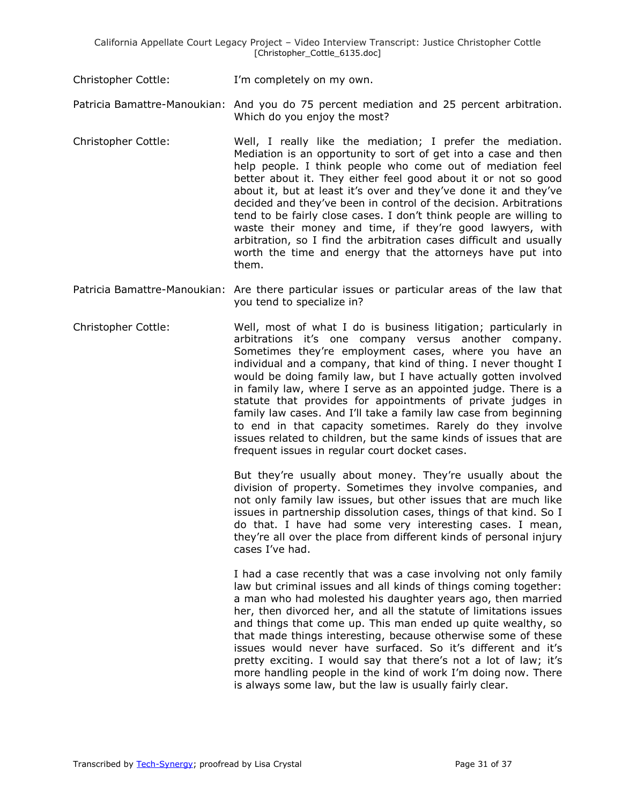Christopher Cottle: I'm completely on my own.

Patricia Bamattre-Manoukian: And you do 75 percent mediation and 25 percent arbitration. Which do you enjoy the most?

- Christopher Cottle: Well, I really like the mediation; I prefer the mediation. Mediation is an opportunity to sort of get into a case and then help people. I think people who come out of mediation feel better about it. They either feel good about it or not so good about it, but at least it's over and they've done it and they've decided and they've been in control of the decision. Arbitrations tend to be fairly close cases. I don't think people are willing to waste their money and time, if they're good lawyers, with arbitration, so I find the arbitration cases difficult and usually worth the time and energy that the attorneys have put into them.
- Patricia Bamattre-Manoukian: Are there particular issues or particular areas of the law that you tend to specialize in?
- Christopher Cottle: Well, most of what I do is business litigation; particularly in arbitrations it's one company versus another company. Sometimes they're employment cases, where you have an individual and a company, that kind of thing. I never thought I would be doing family law, but I have actually gotten involved in family law, where I serve as an appointed judge. There is a statute that provides for appointments of private judges in family law cases. And I'll take a family law case from beginning to end in that capacity sometimes. Rarely do they involve issues related to children, but the same kinds of issues that are frequent issues in regular court docket cases.

But they're usually about money. They're usually about the division of property. Sometimes they involve companies, and not only family law issues, but other issues that are much like issues in partnership dissolution cases, things of that kind. So I do that. I have had some very interesting cases. I mean, they're all over the place from different kinds of personal injury cases I've had.

I had a case recently that was a case involving not only family law but criminal issues and all kinds of things coming together: a man who had molested his daughter years ago, then married her, then divorced her, and all the statute of limitations issues and things that come up. This man ended up quite wealthy, so that made things interesting, because otherwise some of these issues would never have surfaced. So it's different and it's pretty exciting. I would say that there's not a lot of law; it's more handling people in the kind of work I'm doing now. There is always some law, but the law is usually fairly clear.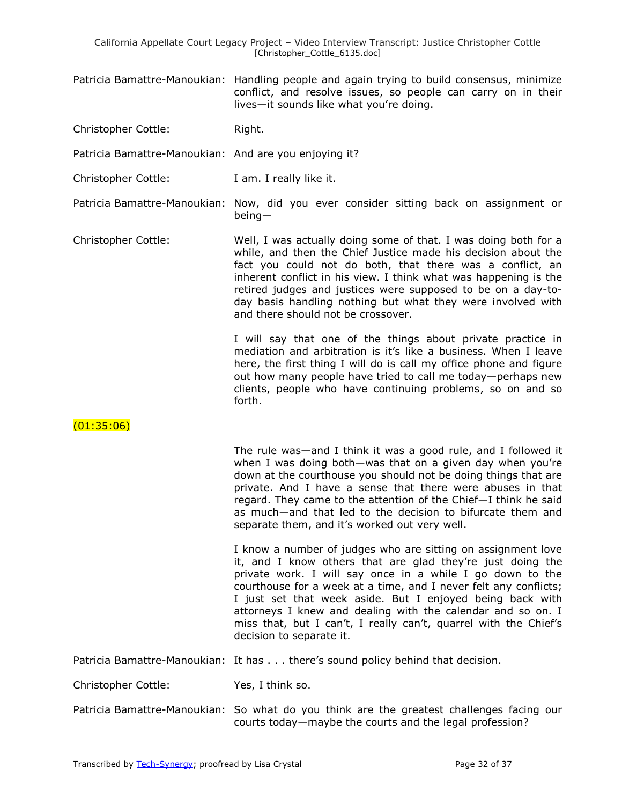- Patricia Bamattre-Manoukian: Handling people and again trying to build consensus, minimize conflict, and resolve issues, so people can carry on in their lives—it sounds like what you're doing.
- Christopher Cottle: Right.
- Patricia Bamattre-Manoukian: And are you enjoying it?
- Christopher Cottle: I am. I really like it.

Patricia Bamattre-Manoukian: Now, did you ever consider sitting back on assignment or being—

Christopher Cottle: Well, I was actually doing some of that. I was doing both for a while, and then the Chief Justice made his decision about the fact you could not do both, that there was a conflict, an inherent conflict in his view. I think what was happening is the retired judges and justices were supposed to be on a day-today basis handling nothing but what they were involved with and there should not be crossover.

> I will say that one of the things about private practice in mediation and arbitration is it's like a business. When I leave here, the first thing I will do is call my office phone and figure out how many people have tried to call me today—perhaps new clients, people who have continuing problems, so on and so forth.

 $(01:35:06)$ 

The rule was—and I think it was a good rule, and I followed it when I was doing both—was that on a given day when you're down at the courthouse you should not be doing things that are private. And I have a sense that there were abuses in that regard. They came to the attention of the Chief—I think he said as much—and that led to the decision to bifurcate them and separate them, and it's worked out very well.

I know a number of judges who are sitting on assignment love it, and I know others that are glad they're just doing the private work. I will say once in a while I go down to the courthouse for a week at a time, and I never felt any conflicts; I just set that week aside. But I enjoyed being back with attorneys I knew and dealing with the calendar and so on. I miss that, but I can't, I really can't, quarrel with the Chief's decision to separate it.

Patricia Bamattre-Manoukian: It has . . . there's sound policy behind that decision.

Christopher Cottle: Yes, I think so.

Patricia Bamattre-Manoukian: So what do you think are the greatest challenges facing our courts today—maybe the courts and the legal profession?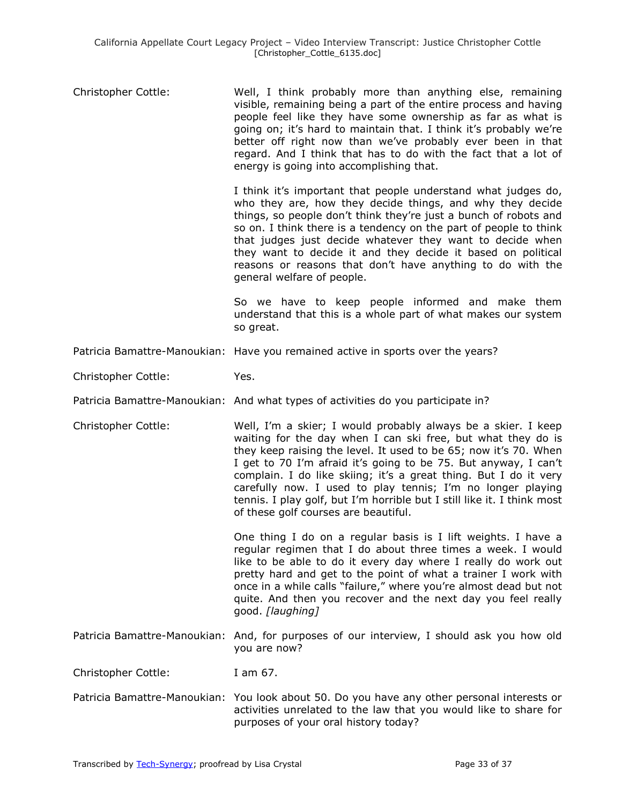| Christopher Cottle: | Well, I think probably more than anything else, remaining<br>visible, remaining being a part of the entire process and having<br>people feel like they have some ownership as far as what is<br>going on; it's hard to maintain that. I think it's probably we're<br>better off right now than we've probably ever been in that<br>regard. And I think that has to do with the fact that a lot of<br>energy is going into accomplishing that.                                                                              |
|---------------------|----------------------------------------------------------------------------------------------------------------------------------------------------------------------------------------------------------------------------------------------------------------------------------------------------------------------------------------------------------------------------------------------------------------------------------------------------------------------------------------------------------------------------|
|                     | I think it's important that people understand what judges do,<br>who they are, how they decide things, and why they decide<br>things, so people don't think they're just a bunch of robots and<br>so on. I think there is a tendency on the part of people to think<br>that judges just decide whatever they want to decide when<br>they want to decide it and they decide it based on political<br>reasons or reasons that don't have anything to do with the<br>general welfare of people.                               |
|                     | So we have to keep people informed and make them<br>understand that this is a whole part of what makes our system<br>so great.                                                                                                                                                                                                                                                                                                                                                                                             |
|                     | Patricia Bamattre-Manoukian: Have you remained active in sports over the years?                                                                                                                                                                                                                                                                                                                                                                                                                                            |
| Christopher Cottle: | Yes.                                                                                                                                                                                                                                                                                                                                                                                                                                                                                                                       |
|                     | Patricia Bamattre-Manoukian: And what types of activities do you participate in?                                                                                                                                                                                                                                                                                                                                                                                                                                           |
| Christopher Cottle: | Well, I'm a skier; I would probably always be a skier. I keep<br>waiting for the day when I can ski free, but what they do is<br>they keep raising the level. It used to be 65; now it's 70. When<br>I get to 70 I'm afraid it's going to be 75. But anyway, I can't<br>complain. I do like skiing; it's a great thing. But I do it very<br>carefully now. I used to play tennis; I'm no longer playing<br>tennis. I play golf, but I'm horrible but I still like it. I think most<br>of these golf courses are beautiful. |
|                     | One thing I do on a regular basis is I lift weights. I have a<br>regular regimen that I do about three times a week. I would<br>like to be able to do it every day where I really do work out<br>pretty hard and get to the point of what a trainer I work with<br>once in a while calls "failure," where you're almost dead but not<br>quite. And then you recover and the next day you feel really<br>good. [laughing]                                                                                                   |
|                     | Patricia Bamattre-Manoukian: And, for purposes of our interview, I should ask you how old<br>you are now?                                                                                                                                                                                                                                                                                                                                                                                                                  |
| Christopher Cottle: | I am 67.                                                                                                                                                                                                                                                                                                                                                                                                                                                                                                                   |
|                     | Patricia Bamattre-Manoukian: You look about 50. Do you have any other personal interests or<br>activities unrelated to the law that you would like to share for<br>purposes of your oral history today?                                                                                                                                                                                                                                                                                                                    |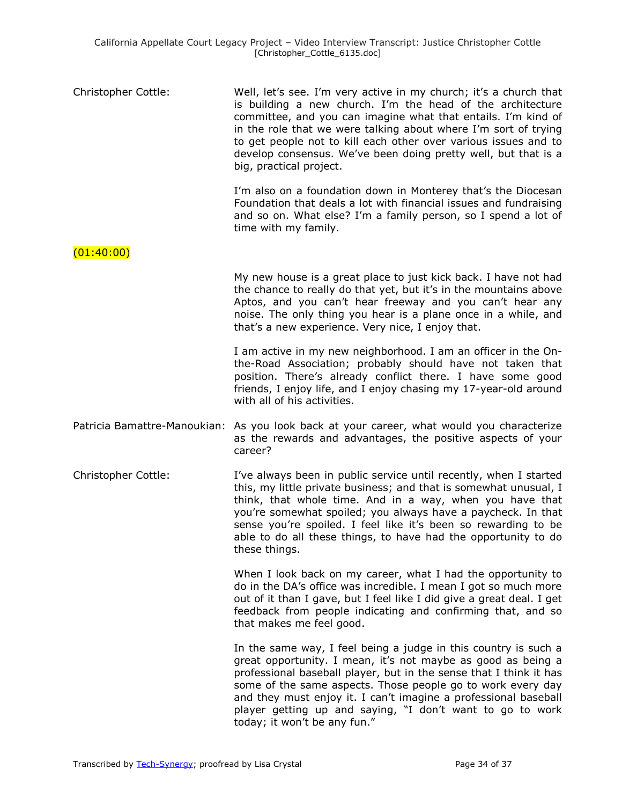| Christopher Cottle: | Well, let's see. I'm very active in my church; it's a church that<br>is building a new church. I'm the head of the architecture<br>committee, and you can imagine what that entails. I'm kind of<br>in the role that we were talking about where I'm sort of trying<br>to get people not to kill each other over various issues and to<br>develop consensus. We've been doing pretty well, but that is a |
|---------------------|----------------------------------------------------------------------------------------------------------------------------------------------------------------------------------------------------------------------------------------------------------------------------------------------------------------------------------------------------------------------------------------------------------|
|                     | big, practical project.                                                                                                                                                                                                                                                                                                                                                                                  |

I'm also on a foundation down in Monterey that's the Diocesan Foundation that deals a lot with financial issues and fundraising and so on. What else? I'm a family person, so I spend a lot of time with my family.

 $(01:40:00)$ 

My new house is a great place to just kick back. I have not had the chance to really do that yet, but it's in the mountains above Aptos, and you can't hear freeway and you can't hear any noise. The only thing you hear is a plane once in a while, and that's a new experience. Very nice, I enjoy that.

I am active in my new neighborhood. I am an officer in the Onthe-Road Association; probably should have not taken that position. There's already conflict there. I have some good friends, I enjoy life, and I enjoy chasing my 17-year-old around with all of his activities.

Patricia Bamattre-Manoukian: As you look back at your career, what would you characterize as the rewards and advantages, the positive aspects of your career?

Christopher Cottle: I've always been in public service until recently, when I started this, my little private business; and that is somewhat unusual, I think, that whole time. And in a way, when you have that you're somewhat spoiled; you always have a paycheck. In that sense you're spoiled. I feel like it's been so rewarding to be able to do all these things, to have had the opportunity to do these things.

> When I look back on my career, what I had the opportunity to do in the DA's office was incredible. I mean I got so much more out of it than I gave, but I feel like I did give a great deal. I get feedback from people indicating and confirming that, and so that makes me feel good.

> In the same way, I feel being a judge in this country is such a great opportunity. I mean, it's not maybe as good as being a professional baseball player, but in the sense that I think it has some of the same aspects. Those people go to work every day and they must enjoy it. I can't imagine a professional baseball player getting up and saying, "I don't want to go to work today; it won't be any fun."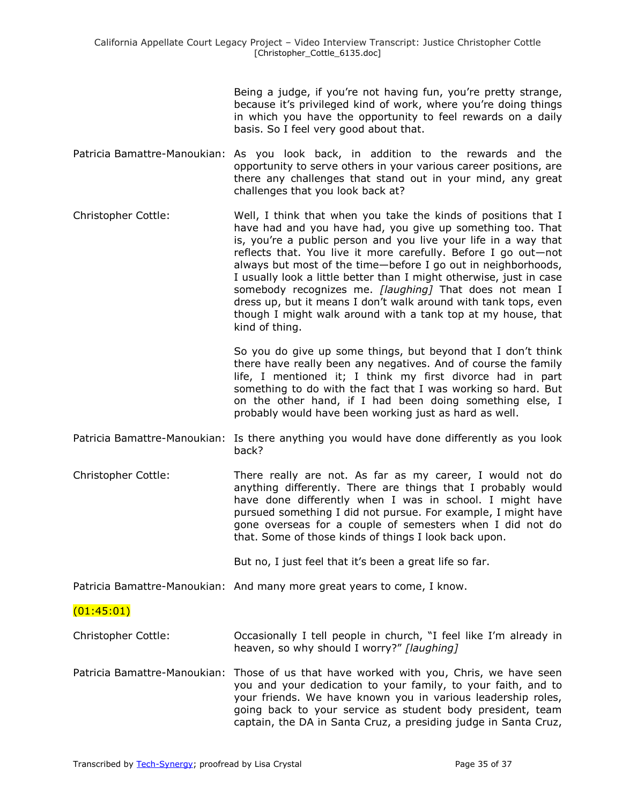Being a judge, if you're not having fun, you're pretty strange, because it's privileged kind of work, where you're doing things in which you have the opportunity to feel rewards on a daily basis. So I feel very good about that.

- Patricia Bamattre-Manoukian: As you look back, in addition to the rewards and the opportunity to serve others in your various career positions, are there any challenges that stand out in your mind, any great challenges that you look back at?
- Christopher Cottle: Well, I think that when you take the kinds of positions that I have had and you have had, you give up something too. That is, you're a public person and you live your life in a way that reflects that. You live it more carefully. Before I go out—not always but most of the time—before I go out in neighborhoods, I usually look a little better than I might otherwise, just in case somebody recognizes me. *[laughing]* That does not mean I dress up, but it means I don't walk around with tank tops, even though I might walk around with a tank top at my house, that kind of thing.

So you do give up some things, but beyond that I don't think there have really been any negatives. And of course the family life, I mentioned it; I think my first divorce had in part something to do with the fact that I was working so hard. But on the other hand, if I had been doing something else, I probably would have been working just as hard as well.

Patricia Bamattre-Manoukian: Is there anything you would have done differently as you look back?

Christopher Cottle: There really are not. As far as my career, I would not do anything differently. There are things that I probably would have done differently when I was in school. I might have pursued something I did not pursue. For example, I might have gone overseas for a couple of semesters when I did not do that. Some of those kinds of things I look back upon.

But no, I just feel that it's been a great life so far.

Patricia Bamattre-Manoukian: And many more great years to come, I know.

 $(01:45:01)$ 

- Christopher Cottle: Occasionally I tell people in church, "I feel like I'm already in heaven, so why should I worry?" [laughing]
- Patricia Bamattre-Manoukian: Those of us that have worked with you, Chris, we have seen you and your dedication to your family, to your faith, and to your friends. We have known you in various leadership roles, going back to your service as student body president, team captain, the DA in Santa Cruz, a presiding judge in Santa Cruz,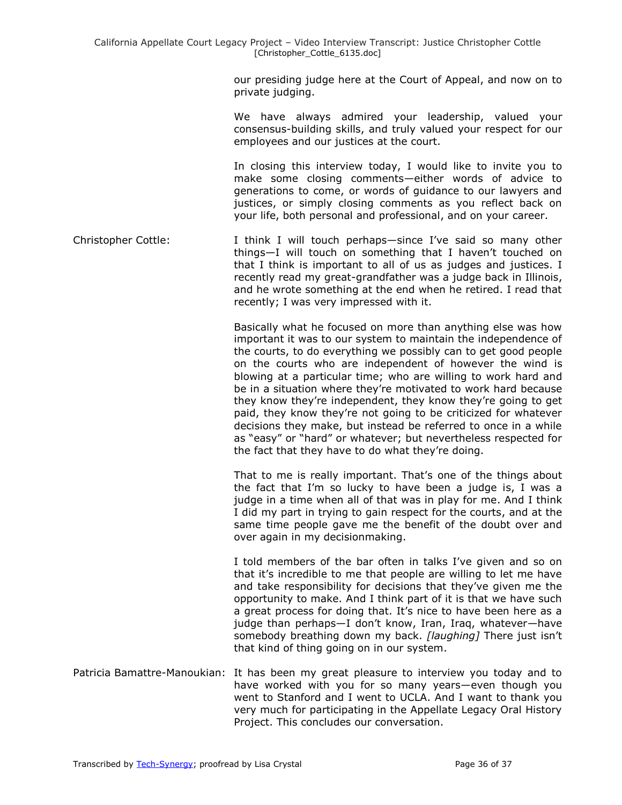our presiding judge here at the Court of Appeal, and now on to private judging.

We have always admired your leadership, valued your consensus-building skills, and truly valued your respect for our employees and our justices at the court.

In closing this interview today, I would like to invite you to make some closing comments—either words of advice to generations to come, or words of guidance to our lawyers and justices, or simply closing comments as you reflect back on your life, both personal and professional, and on your career.

Christopher Cottle: I think I will touch perhaps-since I've said so many other things—I will touch on something that I haven't touched on that I think is important to all of us as judges and justices. I recently read my great-grandfather was a judge back in Illinois, and he wrote something at the end when he retired. I read that recently; I was very impressed with it.

> Basically what he focused on more than anything else was how important it was to our system to maintain the independence of the courts, to do everything we possibly can to get good people on the courts who are independent of however the wind is blowing at a particular time; who are willing to work hard and be in a situation where they're motivated to work hard because they know they're independent, they know they're going to get paid, they know they're not going to be criticized for whatever decisions they make, but instead be referred to once in a while as "easy" or "hard" or whatever; but nevertheless respected for the fact that they have to do what they're doing.

> That to me is really important. That's one of the things about the fact that I'm so lucky to have been a judge is, I was a judge in a time when all of that was in play for me. And I think I did my part in trying to gain respect for the courts, and at the same time people gave me the benefit of the doubt over and over again in my decisionmaking.

> I told members of the bar often in talks I've given and so on that it's incredible to me that people are willing to let me have and take responsibility for decisions that they've given me the opportunity to make. And I think part of it is that we have such a great process for doing that. It's nice to have been here as a judge than perhaps—I don't know, Iran, Iraq, whatever—have somebody breathing down my back. *[laughing]* There just isn't that kind of thing going on in our system.

Patricia Bamattre-Manoukian: It has been my great pleasure to interview you today and to have worked with you for so many years—even though you went to Stanford and I went to UCLA. And I want to thank you very much for participating in the Appellate Legacy Oral History Project. This concludes our conversation.